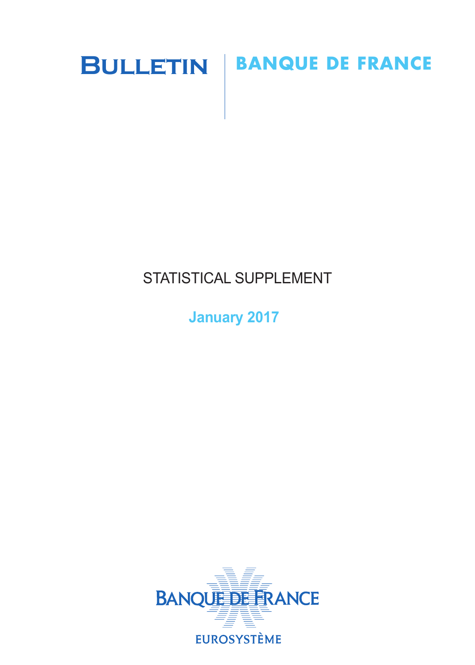

# STATISTICAL SUPPLEMENT

**January 2017**

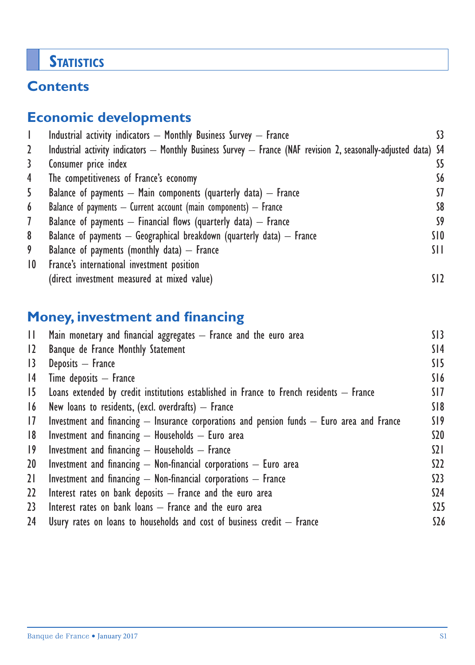## **STATISTICS**

## **Contents**

## **Economic developments**

|                 | Industrial activity indicators - Monthly Business Survey - France                                               |                 |
|-----------------|-----------------------------------------------------------------------------------------------------------------|-----------------|
| 2               | Industrial activity indicators — Monthly Business Survey — France (NAF revision 2, seasonally-adjusted data) S4 |                 |
| 3               | Consumer price index                                                                                            | S5              |
| 4               | The competitiveness of France's economy                                                                         | S6              |
| 5               | Balance of payments $-$ Main components (quarterly data) $-$ France                                             | 57              |
| 6               | Balance of payments $-$ Current account (main components) $-$ France                                            | S8              |
| $\mathcal{I}$   | Balance of payments $-$ Financial flows (quarterly data) $-$ France                                             | S9              |
| 8               | Balance of payments $-$ Geographical breakdown (quarterly data) $-$ France                                      | SIO             |
| 9               | Balance of payments (monthly data) $-$ France                                                                   | SH.             |
| $\overline{10}$ | France's international investment position                                                                      |                 |
|                 | (direct investment measured at mixed value)                                                                     | SI <sub>2</sub> |

## **Money, investment and financing**

| H.              | Main monetary and financial aggregates - France and the euro area                              | SI3             |
|-----------------|------------------------------------------------------------------------------------------------|-----------------|
| $\overline{12}$ | Banque de France Monthly Statement                                                             | S <sub>14</sub> |
| 13              | Deposits - France                                                                              | SI5             |
| 4               | $Time$ deposits $-$ France                                                                     | S16             |
| 15              | Loans extended by credit institutions established in France to French residents $-$ France     | SI 7            |
| 16              | New loans to residents, (excl. overdrafts) $-$ France                                          | S18             |
| 17              | Investment and financing $-$ Insurance corporations and pension funds $-$ Euro area and France | S19             |
| 8               | Investment and financing $-$ Households $-$ Euro area                                          | \$20            |
| $ 9\rangle$     | Investment and financing $-$ Households $-$ France                                             | $\Omega$        |
| 20              | Investment and financing $-$ Non-financial corporations $-$ Euro area                          | S <sub>2</sub>  |
| 21              | Investment and financing $-$ Non-financial corporations $-$ France                             | 523             |
| 22              | Interest rates on bank deposits $-$ France and the euro area                                   | \$24            |
| 23              | Interest rates on bank loans $-$ France and the euro area                                      | $525$           |
| 24              | Usury rates on loans to households and cost of business credit $-$ France                      | \$26            |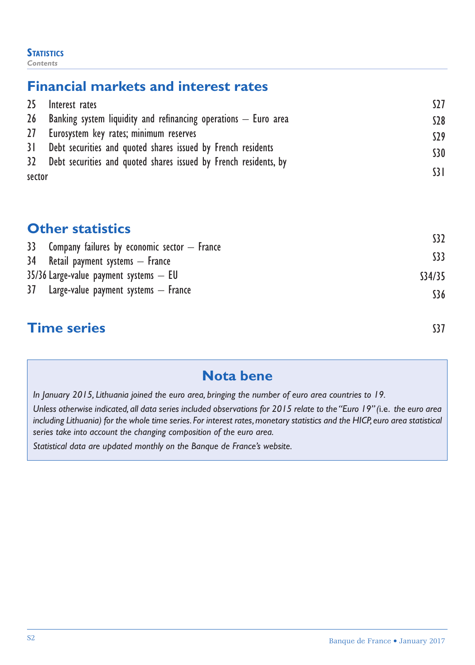#### **STATISTICS** *Contents*

## **Financial markets and interest rates**

|        | 25 Interest rates                                                      | S27             |
|--------|------------------------------------------------------------------------|-----------------|
|        | $26$ Banking system liquidity and refinancing operations $-$ Euro area | \$28            |
|        | 27 Eurosystem key rates; minimum reserves                              | \$29            |
|        | 31 Debt securities and quoted shares issued by French residents        | <b>S30</b>      |
|        | 32 Debt securities and quoted shares issued by French residents, by    |                 |
| sector |                                                                        | $\overline{31}$ |

## **Other statistics**

| 33 Company failures by economic sector $-$ France | S <sub>32</sub> |
|---------------------------------------------------|-----------------|
| 34 Retail payment systems - France                | $33$            |
| $35/36$ Large-value payment systems $-$ EU        | S34/35          |
| 37 Large-value payment systems - France           | \$36            |
|                                                   |                 |

## **Time series** S37

## **Nota bene**

*In January 2015, Lithuania joined the euro area, bringing the number of euro area countries to 19.*

*Unless otherwise indicated, all data series included observations for 2015 relate to the "Euro 19" (*i.e. *the euro area including Lithuania) for the whole time series. For interest rates, monetary statistics and the HICP, euro area statistical series take into account the changing composition of the euro area.*

*Statistical data are updated monthly on the Banque de France's website.*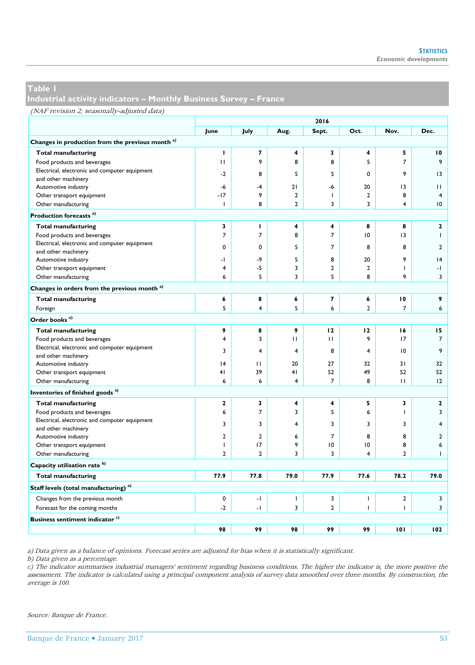**Industrial activity indicators – Monthly Business Survey – France**

|                                                             | 2016           |                |                |                |                         |                |                          |  |
|-------------------------------------------------------------|----------------|----------------|----------------|----------------|-------------------------|----------------|--------------------------|--|
|                                                             | June           | July           | Aug.           | Sept.          | Oct.                    | Nov.           | Dec.                     |  |
| Changes in production from the previous month <sup>a)</sup> |                |                |                |                |                         |                |                          |  |
| <b>Total manufacturing</b>                                  | I              | 7              | 4              | 3              | 4                       | 5              | 10                       |  |
| Food products and beverages                                 | $\mathbf{H}$   | 9              | 8              | 8              | 5                       | $\overline{7}$ | 9                        |  |
| Electrical, electronic and computer equipment               | $-2$           | 8              | 5              | 5              | 0                       | 9              | 13                       |  |
| and other machinery                                         |                |                |                |                |                         |                |                          |  |
| Automotive industry                                         | -6             | -4             | 21             | -6             | 20                      | 13             | $\mathbf{H}$             |  |
| Other transport equipment                                   | $-17$          | 9              | $\overline{2}$ | $\mathbf{I}$   | $\overline{2}$          | 8              | 4                        |  |
| Other manufacturing                                         | I.             | 8              | $\overline{2}$ | 3              | 3                       | $\overline{4}$ | 10                       |  |
| Production forecasts <sup>a)</sup>                          |                |                |                |                |                         |                |                          |  |
| <b>Total manufacturing</b>                                  | 3              | т.             | 4              | 4              | 8                       | 8              | $\mathbf{2}$             |  |
| Food products and beverages                                 | $\overline{7}$ | $\overline{7}$ | 8              | 7              | 10                      | 13             | т                        |  |
| Electrical, electronic and computer equipment               | 0              | $\mathbf 0$    | 5              | $\overline{7}$ | 8                       | 8              | $\overline{2}$           |  |
| and other machinery                                         |                |                |                |                |                         |                |                          |  |
| Automotive industry                                         | -1             | -9             | 5              | 8              | 20                      | 9              | 4                        |  |
| Other transport equipment                                   | 4              | $-5$           | 3              | $\overline{2}$ | $\overline{2}$          | T              | $\overline{\phantom{0}}$ |  |
| Other manufacturing                                         | 6              | 5              | 3              | 5              | 8                       | 9              | 3                        |  |
| Changes in orders from the previous month <sup>a)</sup>     |                |                |                |                |                         |                |                          |  |
| <b>Total manufacturing</b>                                  | 6              | 8              | 6              | $\overline{ }$ | 6                       | 10             | 9                        |  |
| Foreign                                                     | 5              | $\overline{4}$ | 5              | 6              | $\overline{\mathbf{c}}$ | $\overline{7}$ | 6                        |  |
| Order books <sup>a)</sup>                                   |                |                |                |                |                         |                |                          |  |
| <b>Total manufacturing</b>                                  | 9              | 8              | 9              | 12             | 12                      | 16             | 15                       |  |
| Food products and beverages                                 | 4              | 3              | $\mathbf{H}$   | $\mathbf{H}$   | 9                       | 17             | $\overline{7}$           |  |
| Electrical, electronic and computer equipment               | 3              | $\overline{4}$ | $\overline{4}$ | 8              | 4                       | 10             | 9                        |  |
| and other machinery                                         |                |                |                |                |                         |                |                          |  |
| Automotive industry                                         | 4              | $\mathbf{H}$   | 20             | 27             | 32                      | 31             | 32                       |  |
| Other transport equipment                                   | 41             | 39             | 41             | 52             | 49                      | 52             | 52                       |  |
| Other manufacturing                                         | 6              | 6              | 4              | $\overline{7}$ | 8                       | $\mathbf{H}$   | 12                       |  |
| Inventories of finished goods <sup>a)</sup>                 |                |                |                |                |                         |                |                          |  |
| <b>Total manufacturing</b>                                  | $\mathbf{z}$   | 3              | 4              | 4              | 5                       | 3              | $\mathbf{2}$             |  |
| Food products and beverages                                 | 6              | $\overline{7}$ | 3              | 5              | 6                       | $\mathbf{I}$   | 3                        |  |
| Electrical, electronic and computer equipment               | 3              | 3              | 4              | 3              | 3                       | 3              | 4                        |  |
| and other machinery                                         |                |                |                |                |                         |                |                          |  |
| Automotive industry                                         | $\overline{2}$ | $\overline{2}$ | 6              | $\overline{7}$ | 8                       | 8              | $\overline{2}$           |  |
| Other transport equipment                                   | I.             | 17             | 9              | 10             | $\overline{0}$          | 8              | 6                        |  |
| Other manufacturing                                         | $\overline{2}$ | $\overline{2}$ | 3              | 3              | 4                       | $\overline{2}$ | $\mathbf{I}$             |  |
| Capacity utilisation rate <sup>b)</sup>                     |                |                |                |                |                         |                |                          |  |
| <b>Total manufacturing</b>                                  | 77.9           | 77.8           | 79.0           | 77.9           | 77.6                    | 78.2           | 79.0                     |  |
| Staff levels (total manufacturing) <sup>a)</sup>            |                |                |                |                |                         |                |                          |  |
| Changes from the previous month                             | $\mathbf 0$    | $\cdot$        | $\mathbf{I}$   | 3              | I                       | $\mathbf{2}$   | 3                        |  |
| Forecast for the coming months                              | $-2$           | $-1$           | 3              | $\overline{2}$ | T                       | I.             | 3                        |  |
| Business sentiment indicator <sup>c)</sup>                  |                |                |                |                |                         |                |                          |  |
|                                                             | 98             | 99             | 98             | 99             | 99                      | 101            | 102                      |  |

a) Data given as a balance of opinions. Forecast series are adjusted for bias when it is statistically significant.

b) Data given as a percentage.

c) The indicator summarises industrial managers' sentiment regarding business conditions. The higher the indicator is, the more positive the assessment. The indicator is calculated using a principal component analysis of survey data smoothed over three months. By construction, the average is 100.

Source: Banque de France.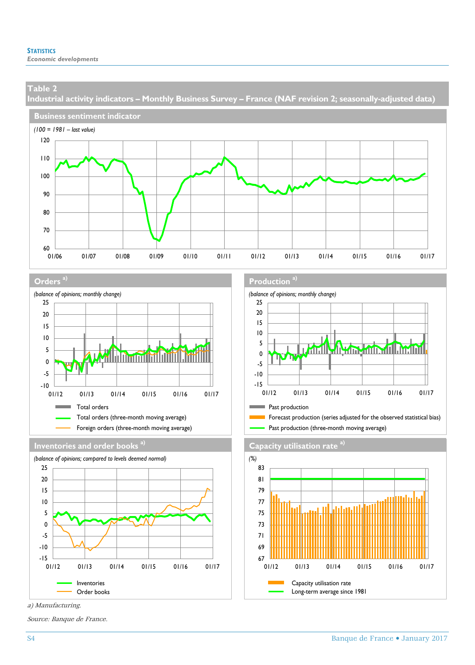**Industrial activity indicators – Monthly Business Survey – France (NAF revision 2; seasonally-adjusted data)**











a) Manufacturing.

Source: Banque de France.

#### **Orders a) Production a)**





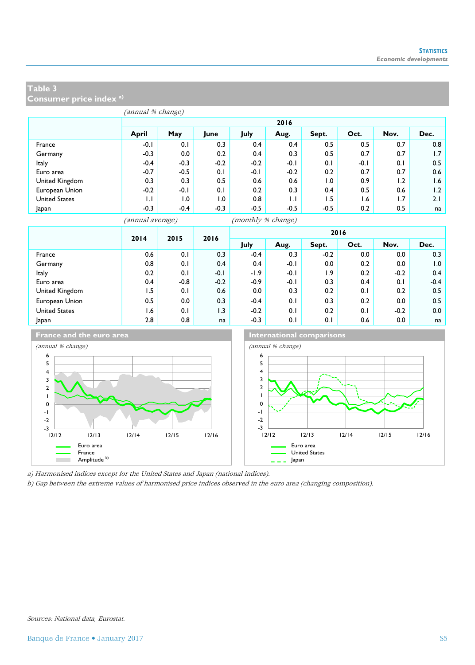**Consumer price index a)**

|                      |        | 2016   |        |        |        |        |        |      |      |  |  |  |
|----------------------|--------|--------|--------|--------|--------|--------|--------|------|------|--|--|--|
|                      | April  | May    | June   | July   | Aug.   | Sept.  | Oct.   | Nov. | Dec. |  |  |  |
| France               | $-0.1$ | 0.1    | 0.3    | 0.4    | 0.4    | 0.5    | 0.5    | 0.7  | 0.8  |  |  |  |
| Germany              | $-0.3$ | 0.0    | 0.2    | 0.4    | 0.3    | 0.5    | 0.7    | 0.7  | 1.7  |  |  |  |
| Italy                | $-0.4$ | $-0.3$ | $-0.2$ | $-0.2$ | $-0.1$ | 0.1    | $-0.1$ | 0.1  | 0.5  |  |  |  |
| Euro area            | $-0.7$ | $-0.5$ | 0.1    | $-0.1$ | $-0.2$ | 0.2    | 0.7    | 0.7  | 0.6  |  |  |  |
| United Kingdom       | 0.3    | 0.3    | 0.5    | 0.6    | 0.6    | 1.0    | 0.9    | 1.2  | 1.6  |  |  |  |
| European Union       | $-0.2$ | $-0.1$ | 0.1    | 0.2    | 0.3    | 0.4    | 0.5    | 0.6  | 1.2  |  |  |  |
| <b>United States</b> | Ы      | 0. ا   | 0. ا   | 0.8    | ЫL     | 1.5    | 6. ا   | 1.7  | 2.1  |  |  |  |
| Japan                | $-0.3$ | $-0.4$ | $-0.3$ | $-0.5$ | $-0.5$ | $-0.5$ | 0.2    | 0.5  | na   |  |  |  |

(annual average) (monthly % change)

|                      | 2014 |        | 2015             | 2016   |        |        |      | 2016   |        |  |
|----------------------|------|--------|------------------|--------|--------|--------|------|--------|--------|--|
|                      |      |        |                  | July   | Aug.   | Sept.  | Oct. | Nov.   | Dec.   |  |
| France               | 0.6  | 0.1    | 0.3              | $-0.4$ | 0.3    | $-0.2$ | 0.0  | 0.0    | 0.3    |  |
| Germany              | 0.8  | 0.1    | 0.4              | 0.4    | $-0.1$ | 0.0    | 0.2  | 0.0    | 1.0    |  |
| Italy                | 0.2  | 0.1    | $-0.1$           | $-1.9$ | $-0.1$ | 1.9    | 0.2  | $-0.2$ | 0.4    |  |
| Euro area            | 0.4  | $-0.8$ | $-0.2$           | $-0.9$ | $-0.1$ | 0.3    | 0.4  | 0.1    | $-0.4$ |  |
| United Kingdom       | ۱.5  | 0.1    | 0.6              | 0.0    | 0.3    | 0.2    | 0.1  | 0.2    | 0.5    |  |
| European Union       | 0.5  | 0.0    | 0.3              | $-0.4$ | 0.1    | 0.3    | 0.2  | 0.0    | 0.5    |  |
| <b>United States</b> | 6. ا | 0.1    | $\overline{1.3}$ | $-0.2$ | 0.1    | 0.2    | 0.1  | $-0.2$ | 0.0    |  |
| Japan                | 2.8  | 0.8    | na               | $-0.3$ | 0.1    | 0.1    | 0.6  | 0.0    | na     |  |





a) Harmonised indices except for the United States and Japan (national indices).

12/12 12/13 12/14 12/15 12/16

b) Gap between the extreme values of harmonised price indices observed in the euro area (changing composition).

 $-3$   $-$ <br>12/12 -2 -1 0

**College**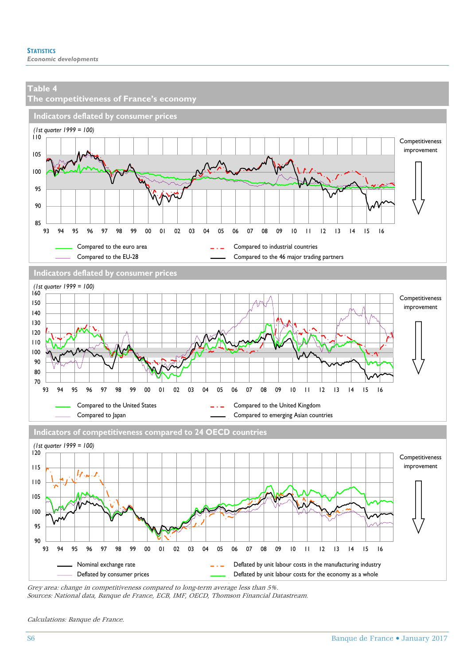

Grey area: change in competitiveness compared to long-term average less than 5%. Sources: National data, Banque de France, ECB, IMF, OECD, Thomson Financial Datastream.

Calculations: Banque de France.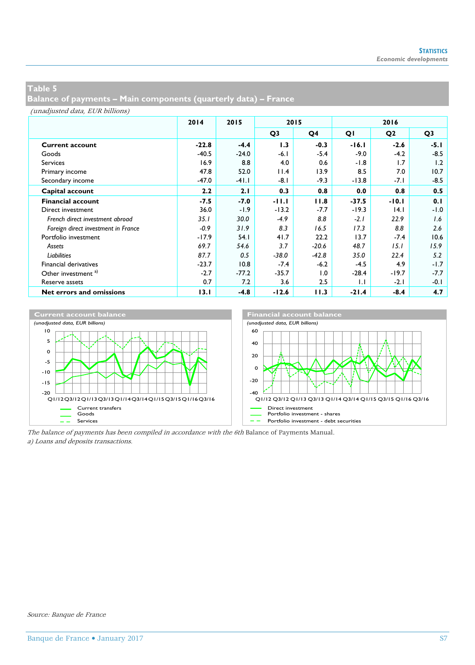**Balance of payments – Main components (quarterly data) – France**

(unadjusted data, EUR billions)

|                                     | 2014    | 2015    | 2015           |                | 2016         |                |                |
|-------------------------------------|---------|---------|----------------|----------------|--------------|----------------|----------------|
|                                     |         |         | Q <sub>3</sub> | Q <sub>4</sub> | QI           | Q <sub>2</sub> | Q <sub>3</sub> |
| <b>Current account</b>              | $-22.8$ | $-4.4$  | 1.3            | $-0.3$         | $-16.1$      | $-2.6$         | $-5.1$         |
| Goods                               | $-40.5$ | $-24.0$ | $-6.1$         | $-5.4$         | $-9.0$       | $-4.2$         | $-8.5$         |
| <b>Services</b>                     | 16.9    | 8.8     | 4.0            | 0.6            | $-1.8$       | 1.7            | 1.2            |
| Primary income                      | 47.8    | 52.0    | 11.4           | 13.9           | 8.5          | 7.0            | 10.7           |
| Secondary income                    | $-47.0$ | $-41.1$ | -8.1           | $-9.3$         | $-13.8$      | -7.1           | $-8.5$         |
| Capital account                     | 2.2     | 2.1     | 0.3            | 0.8            | 0.0          | 0.8            | 0.5            |
| <b>Financial account</b>            | $-7.5$  | $-7.0$  | $-11.1$        | 11.8           | $-37.5$      | $-10.1$        | 0.1            |
| Direct investment                   | 36.0    | $-1.9$  | $-13.2$        | $-7.7$         | $-19.3$      | 14.1           | $-1.0$         |
| French direct investment abroad     | 35.1    | 30.0    | $-4.9$         | 8.8            | $-2.1$       | 22.9           | 1.6            |
| Foreign direct investment in France | $-0.9$  | 31.9    | 8.3            | 16.5           | 17.3         | 8.8            | 2.6            |
| Portfolio investment                | $-17.9$ | 54.1    | 41.7           | 22.2           | 13.7         | $-7.4$         | 10.6           |
| Assets                              | 69.7    | 54.6    | 3.7            | $-20.6$        | 48.7         | 15.1           | 15.9           |
| Liabilities                         | 87.7    | 0.5     | $-38.0$        | $-42.8$        | 35.0         | 22.4           | 5.2            |
| <b>Financial derivatives</b>        | $-23.7$ | 10.8    | $-7.4$         | $-6.2$         | $-4.5$       | 4.9            | $-1.7$         |
| Other investment <sup>a)</sup>      | $-2.7$  | $-77.2$ | $-35.7$        | 1.0            | $-28.4$      | $-19.7$        | $-7.7$         |
| Reserve assets                      | 0.7     | 7.2     | 3.6            | 2.5            | $\mathbf{L}$ | $-2.1$         | $-0.1$         |
| Net errors and omissions            | 13.1    | $-4.8$  | $-12.6$        | 11.3           | $-21.4$      | $-8.4$         | 4.7            |



The balance of payments has been compiled in accordance with the 6th Balance of Payments Manual. a) Loans and deposits transactions.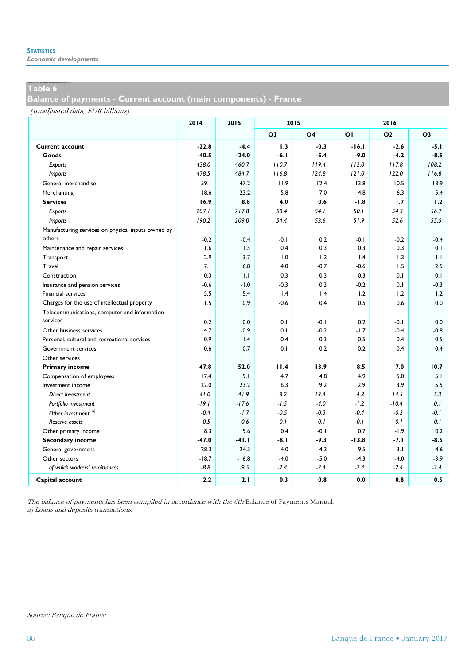*Economic developments*

## Table 6

**Balance of payments - Current account (main components) - France**

#### (unadjusted data, EUR billions)

|                                                    | 2014    | 2015    | 2015           |                |         |                |                |
|----------------------------------------------------|---------|---------|----------------|----------------|---------|----------------|----------------|
|                                                    |         |         | Q <sub>3</sub> | Q <sub>4</sub> | QI      | Q <sub>2</sub> | Q <sub>3</sub> |
| <b>Current account</b>                             | $-22.8$ | $-4.4$  | 1.3            | $-0.3$         | $-16.1$ | $-2.6$         | $-5.1$         |
| Goods                                              | $-40.5$ | $-24.0$ | $-6.1$         | $-5.4$         | $-9.0$  | $-4.2$         | $-8.5$         |
| Exports                                            | 438.0   | 460.7   | 110.7          | 119.4          | 112.0   | 117.8          | 108.2          |
| <i>Imports</i>                                     | 478.5   | 484.7   | 116.8          | 124.8          | 121.0   | 122.0          | 116.8          |
| General merchandise                                | $-59.1$ | $-47.2$ | $-11.9$        | $-12.4$        | $-13.8$ | $-10.5$        | $-13.9$        |
| Merchanting                                        | 18.6    | 23.2    | 5.8            | 7.0            | 4.8     | 6.3            | 5.4            |
| <b>Services</b>                                    | 16.9    | 8.8     | 4.0            | 0.6            | $-1.8$  | 1.7            | 1.2            |
| Exports                                            | 207.1   | 217.8   | 58.4           | 54.1           | 50.1    | 54.3           | 56.7           |
| <i>Imports</i>                                     | 190.2   | 209.0   | 54.4           | 53.6           | 51.9    | 52.6           | 55.5           |
| Manufacturing services on physical inputs owned by |         |         |                |                |         |                |                |
| others                                             | $-0.2$  | $-0.4$  | $-0.1$         | 0.2            | -0.1    | $-0.2$         | $-0.4$         |
| Maintenance and repair services                    | 1.6     | 1.3     | 0.4            | 0.3            | 0.3     | 0.3            | 0.1            |
| Transport                                          | $-2.9$  | $-3.7$  | $-1.0$         | $-1.2$         | $-1.4$  | -1.3           | -1.1           |
| Travel                                             | 7.1     | 6.8     | 4.0            | $-0.7$         | $-0.6$  | 1.5            | 2.5            |
| Construction                                       | 0.3     | 1.1     | 0.3            | 0.3            | 0.3     | 0.1            | 0.1            |
| Insurance and pension services                     | $-0.6$  | $-1.0$  | $-0.3$         | 0.3            | $-0.2$  | 0.1            | $-0.3$         |
| Financial services                                 | 5.5     | 5.4     | 1.4            | 1.4            | 1.2     | 1.2            | 1.2            |
| Charges for the use of intellectual property       | 1.5     | 0.9     | $-0.6$         | 0.4            | 0.5     | 0.6            | 0.0            |
| Telecommunications, computer and information       |         |         |                |                |         |                |                |
| services                                           | 0.2     | 0.0     | 0.1            | $-0.1$         | 0.2     | -0.1           | 0.0            |
| Other business services                            | 4.7     | $-0.9$  | 0.1            | $-0.2$         | $-1.7$  | $-0.4$         | $-0.8$         |
| Personal, cultural and recreational services       | -0.9    | $-1.4$  | $-0.4$         | $-0.3$         | $-0.5$  | $-0.4$         | $-0.5$         |
| Government services                                | 0.6     | 0.7     | 0.1            | 0.2            | 0.2     | 0.4            | 0.4            |
| Other services                                     |         |         |                |                |         |                |                |
| <b>Primary income</b>                              | 47.8    | 52.0    | 11.4           | 13.9           | 8.5     | 7.0            | 10.7           |
| Compensation of employees                          | 17.4    | 19.1    | 4.7            | 4.8            | 4.9     | 5.0            | 5.1            |
| Investment income                                  | 22.0    | 23.2    | 6.3            | 9.2            | 2.9     | 3.9            | 5.5            |
| Direct investment                                  | 41.0    | 41.9    | 8.2            | 13.4           | 4.3     | 14.5           | 5.3            |
| Portfolio investment                               | $-19.1$ | $-17.6$ | $-1.5$         | $-4.0$         | $-1.2$  | $-10.4$        | 0.1            |
| Other investment <sup>a)</sup>                     | $-0.4$  | $-1.7$  | $-0.5$         | $-0.3$         | $-0.4$  | $-0.3$         | -0.1           |
| Reserve assets                                     | 0.5     | 0.6     | 0.1            | 0.1            | 0.1     | 0.1            | 0.1            |
| Other primary income                               | 8.3     | 9.6     | 0.4            | $-0.1$         | 0.7     | $-1.9$         | 0.2            |
| Secondary income                                   | $-47.0$ | $-41.1$ | -8.1           | $-9.3$         | $-13.8$ | $-7.1$         | $-8.5$         |
| General government                                 | $-28.3$ | $-24.3$ | $-4.0$         | $-4.3$         | $-9.5$  | $-3.1$         | $-4.6$         |
| Other sectors                                      | $-18.7$ | $-16.8$ | $-4.0$         | $-5.0$         | $-4.3$  | $-4.0$         | $-3.9$         |
| of which workers' remittances                      | $-8.8$  | $-9.5$  | $-2.4$         | $-2.4$         | $-2.4$  | $-2.4$         | $-2.4$         |
| Capital account                                    | 2.2     | 2.1     | 0.3            | 0.8            | 0.0     | 0.8            | 0.5            |

The balance of payments has been compiled in accordance with the 6th Balance of Payments Manual. a) Loans and deposits transactions.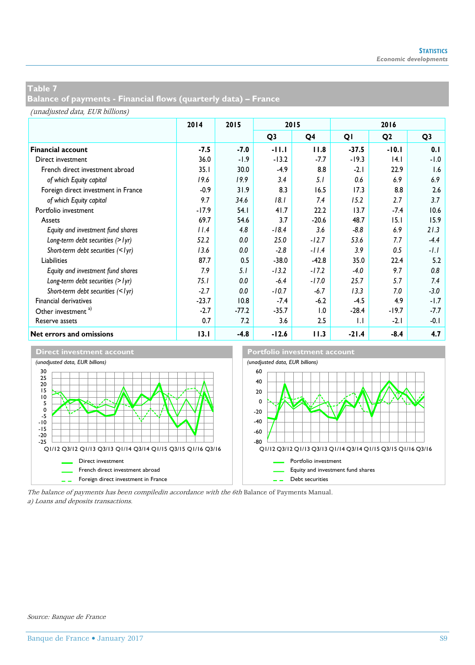**Balance of payments - Financial flows (quarterly data) – France**

(unadjusted data, EUR billions)

|                                     | 2014<br>2015 |         | 2015           |                  | 2016         |                |                |  |
|-------------------------------------|--------------|---------|----------------|------------------|--------------|----------------|----------------|--|
|                                     |              |         | Q <sub>3</sub> | Q4               | QI           | Q <sub>2</sub> | Q <sub>3</sub> |  |
| <b>Financial account</b>            | $-7.5$       | $-7.0$  | -11.1          | 11.8             | $-37.5$      | $-10.1$        | 0.1            |  |
| Direct investment                   | 36.0         | $-1.9$  | $-13.2$        | $-7.7$           | $-19.3$      | 4.1            | $-1.0$         |  |
| French direct investment abroad     | 35.1         | 30.0    | $-4.9$         | 8.8              | $-2.1$       | 22.9           | 1.6            |  |
| of which Equity capital             | 19.6         | 19.9    | 3.4            | 5.1              | 0.6          | 6.9            | 6.9            |  |
| Foreign direct investment in France | $-0.9$       | 31.9    | 8.3            | 16.5             | 17.3         | 8.8            | 2.6            |  |
| of which Equity capital             | 9.7          | 34.6    | 18.1           | 7.4              | 15.2         | 2.7            | 3.7            |  |
| Portfolio investment                | $-17.9$      | 54.1    | 41.7           | 22.2             | 13.7         | $-7.4$         | 10.6           |  |
| Assets                              | 69.7         | 54.6    | 3.7            | $-20.6$          | 48.7         | 15.1           | 15.9           |  |
| Equity and investment fund shares   | 11.4         | 4.8     | $-18.4$        | 3.6              | $-8.8$       | 6.9            | 21.3           |  |
| Long-term debt securities (> lyr)   | 52.2         | 0.0     | 25.0           | $-12.7$          | 53.6         | 7.7            | $-4.4$         |  |
| Short-term debt securities (<1yr)   | 13.6         | 0.0     | $-2.8$         | $-11.4$          | 3.9          | 0.5            | $-1.1$         |  |
| Liabilities                         | 87.7         | 0.5     | $-38.0$        | $-42.8$          | 35.0         | 22.4           | 5.2            |  |
| Equity and investment fund shares   | 7.9          | 5.1     | $-13.2$        | $-17.2$          | $-4.0$       | 9.7            | 0.8            |  |
| Long-term debt securities (> lyr)   | 75.1         | 0.0     | $-6.4$         | $-17.0$          | 25.7         | 5.7            | 7.4            |  |
| Short-term debt securities (<1yr)   | $-2.7$       | 0.0     | $-10.7$        | $-6.7$           | 13.3         | 7.0            | $-3.0$         |  |
| Financial derivatives               | $-23.7$      | 10.8    | $-7.4$         | $-6.2$           | $-4.5$       | 4.9            | -1.7           |  |
| Other investment <sup>a)</sup>      | $-2.7$       | $-77.2$ | $-35.7$        | $\overline{0}$ . | $-28.4$      | $-19.7$        | -7.7           |  |
| Reserve assets                      | 0.7          | 7.2     | 3.6            | 2.5              | $\mathsf{L}$ | $-2.1$         | -0.1           |  |
| Net errors and omissions            | 13.1         | $-4.8$  | $-12.6$        | 11.3             | $-21.4$      | $-8.4$         | 4.7            |  |



The balance of payments has been compiledin accordance with the 6th Balance of Payments Manual. a) Loans and deposits transactions.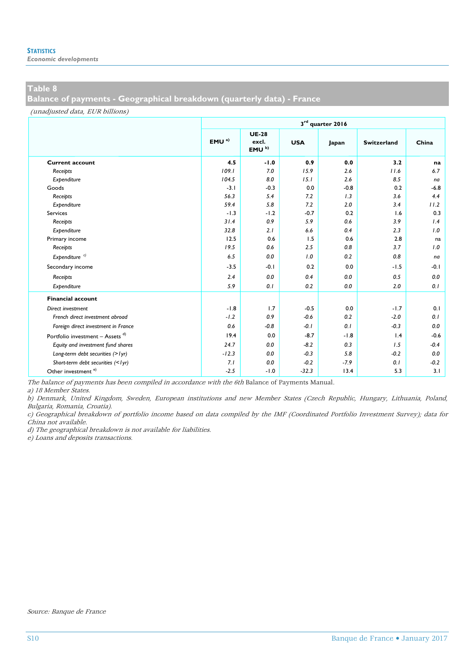*Economic developments*

## **Table 8**

**Balance of payments - Geographical breakdown (quarterly data) - France**

(unadjusted data, EUR billions)

|                                     | 3rd quarter 2016 |                                           |            |        |                    |        |  |  |  |  |
|-------------------------------------|------------------|-------------------------------------------|------------|--------|--------------------|--------|--|--|--|--|
|                                     | EMU <sup>a</sup> | <b>UE-28</b><br>excl.<br>EMU <sup>b</sup> | <b>USA</b> | Japan  | <b>Switzerland</b> | China  |  |  |  |  |
| <b>Current account</b>              | 4.5              | $-1.0$                                    | 0.9        | 0.0    | 3.2                | na     |  |  |  |  |
| Receipts                            | 109.1            | 7.0                                       | 15.9       | 2.6    | 11.6               | 6.7    |  |  |  |  |
| Expenditure                         | 104.5            | 8.0                                       | 15.1       | 2.6    | 8.5                | na     |  |  |  |  |
| Goods                               | $-3.1$           | $-0.3$                                    | 0.0        | $-0.8$ | 0.2                | $-6.8$ |  |  |  |  |
| Receipts                            | 56.3             | 5.4                                       | 7.2        | 1.3    | 3.6                | 4.4    |  |  |  |  |
| Expenditure                         | 59.4             | 5.8                                       | 7.2        | 2.0    | 3.4                | 11.2   |  |  |  |  |
| <b>Services</b>                     | $-1.3$           | $-1.2$                                    | $-0.7$     | 0.2    | 1.6                | 0.3    |  |  |  |  |
| Receipts                            | 31.4             | 0.9                                       | 5.9        | 0.6    | 3.9                | 1.4    |  |  |  |  |
| Expenditure                         | 32.8             | 2.1                                       | 6.6        | 0.4    | 2.3                | 1.0    |  |  |  |  |
| Primary income                      | 12.5             | 0.6                                       | 1.5        | 0.6    | 2.8                | na     |  |  |  |  |
| Receipts                            | 19.5             | 0.6                                       | 2.5        | 0.8    | 3.7                | 1.0    |  |  |  |  |
| Expenditure <sup>c)</sup>           | 6.5              | 0.0                                       | 1.0        | 0.2    | 0.8                | na     |  |  |  |  |
| Secondary income                    | $-3.5$           | $-0.1$                                    | 0.2        | 0.0    | $-1.5$             | $-0.1$ |  |  |  |  |
| Receipts                            | 2.4              | 0.0                                       | 0.4        | 0.0    | 0.5                | 0.0    |  |  |  |  |
| Expenditure                         | 5.9              | 0.1                                       | 0.2        | 0.0    | 2.0                | 0.1    |  |  |  |  |
| <b>Financial account</b>            |                  |                                           |            |        |                    |        |  |  |  |  |
| Direct investment                   | $-1.8$           | 1.7                                       | $-0.5$     | 0.0    | $-1.7$             | 0.1    |  |  |  |  |
| French direct investment abroad     | $-1.2$           | 0.9                                       | $-0.6$     | 0.2    | $-2.0$             | 0.1    |  |  |  |  |
| Foreign direct investment in France | 0.6              | $-0.8$                                    | $-0.1$     | 0.1    | $-0.3$             | 0.0    |  |  |  |  |
| Portfolio investment - Assets $d)$  | 19.4             | 0.0                                       | $-8.7$     | $-1.8$ | 1.4                | $-0.6$ |  |  |  |  |
| Equity and investment fund shares   | 24.7             | 0.0                                       | $-8.2$     | 0.3    | 1.5                | $-0.4$ |  |  |  |  |
| Long-term debt securities (> lyr)   | $-12.3$          | 0.0                                       | $-0.3$     | 5.8    | $-0.2$             | 0.0    |  |  |  |  |
| Short-term debt securities (<1yr)   | 7.1              | 0.0                                       | $-0.2$     | $-7.9$ | 0.1                | $-0.2$ |  |  |  |  |
| Other investment <sup>e)</sup>      | $-2.5$           | $-1.0$                                    | $-32.3$    | 13.4   | 5.3                | 3.1    |  |  |  |  |

The balance of payments has been compiled in accordance with the 6th Balance of Payments Manual.

a) 18 Member States.

b) Denmark, United Kingdom, Sweden, European institutions and new Member States (Czech Republic, Hungary, Lithuania, Poland, Bulgaria, Romania, Croatia).

c) Geographical breakdown of portfolio income based on data compiled by the IMF (Coordinated Portfolio Investment Survey); data for China not available.

d) The geographical breakdown is not available for liabilities.

e) Loans and deposits transactions.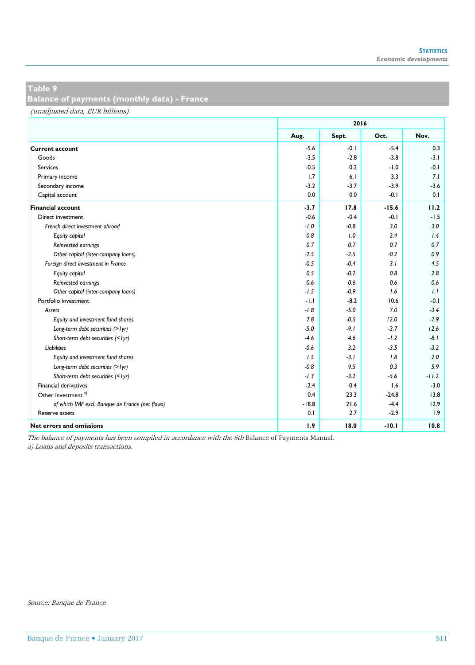**Balance of payments (monthly data) - France**

(unadjusted data, EUR billions)

|                                                 |         | 2016   |         |         |
|-------------------------------------------------|---------|--------|---------|---------|
|                                                 | Aug.    | Sept.  | Oct.    | Nov.    |
| <b>Current account</b>                          | $-5.6$  | $-0.1$ | $-5.4$  | 0.3     |
| Goods                                           | $-3.5$  | $-2.8$ | $-3.8$  | $-3.1$  |
| <b>Services</b>                                 | $-0.5$  | 0.2    | $-1.0$  | $-0.1$  |
| Primary income                                  | 1.7     | 6.1    | 3.3     | 7.1     |
| Secondary income                                | $-3.2$  | $-3.7$ | $-3.9$  | $-3.6$  |
| Capital account                                 | 0.0     | 0.0    | $-0.1$  | 0.1     |
| <b>Financial account</b>                        | $-3.7$  | 17.8   | $-15.6$ | 11.2    |
| Direct investment                               | $-0.6$  | $-0.4$ | $-0.1$  | $-1.5$  |
| French direct investment abroad                 | $-1.0$  | $-0.8$ | 3.0     | 3.0     |
| Equity capital                                  | 0.8     | 1.0    | 2.4     | 1.4     |
| Reinvested earnings                             | 0.7     | 0.7    | 0.7     | 0.7     |
| Other capital (inter-company loans)             | $-2.5$  | $-2.5$ | $-0.2$  | 0.9     |
| Foreign direct investment in France             | $-0.5$  | $-0.4$ | 3.1     | 4.5     |
| Equity capital                                  | 0.5     | $-0.2$ | 0.8     | 2.8     |
| Reinvested earnings                             | 0.6     | 0.6    | 0.6     | 0.6     |
| Other capital (inter-company loans)             | $-1.5$  | $-0.9$ | 1.6     | 1.1     |
| Portfolio investment                            | $-1.1$  | $-8.2$ | 10.6    | $-0.1$  |
| Assets                                          | $-1.8$  | $-5.0$ | 7.0     | $-3.4$  |
| Equity and investment fund shares               | 7.8     | $-0.5$ | 12.0    | $-7.9$  |
| Long-term debt securities (> lyr)               | $-5.0$  | $-9.1$ | $-3.7$  | 12.6    |
| Short-term debt securities (<1yr)               | $-4.6$  | 4.6    | $-1.2$  | $-8.1$  |
| <b>Liabilities</b>                              | $-0.6$  | 3.2    | $-3.5$  | $-3.2$  |
| Equity and investment fund shares               | 1.5     | $-3.1$ | 1.8     | 2.0     |
| Long-term debt securities (> lyr)               | $-0.8$  | 9.5    | 0.3     | 5.9     |
| Short-term debt securities (<1yr)               | $-1.3$  | $-3.2$ | $-5.6$  | $-11.2$ |
| Financial derivatives                           | $-2.4$  | 0.4    | 1.6     | $-3.0$  |
| Other investment <sup>a)</sup>                  | 0.4     | 23.3   | $-24.8$ | 13.8    |
| of which IMF excl. Banque de France (net flows) | $-18.8$ | 21.6   | $-4.4$  | 12.9    |
| Reserve assets                                  | 0.1     | 2.7    | $-2.9$  | 1.9     |
| <b>Net errors and omissions</b>                 | 1.9     | 18.0   | $-10.1$ | 10.8    |

The balance of payments has been compiled in accordance with the 6th Balance of Payments Manual.

a) Loans and deposits transactions.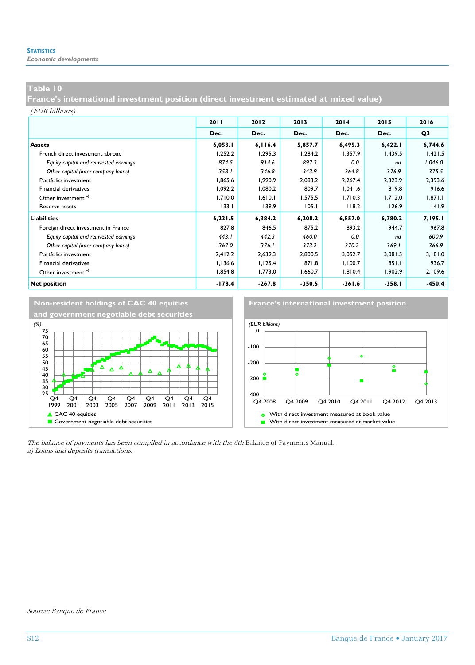*Economic developments*

### **Table 10**

**France's international investment position (direct investment estimated at mixed value)** 

(EUR billions)

|                                        | 2011     | 2012     | 2013     | 2014     | 2015     | 2016           |
|----------------------------------------|----------|----------|----------|----------|----------|----------------|
|                                        | Dec.     | Dec.     | Dec.     | Dec.     | Dec.     | Q <sub>3</sub> |
| <b>Assets</b>                          | 6,053.1  | 6,116.4  | 5,857.7  | 6,495.3  | 6,422.1  | 6,744.6        |
| French direct investment abroad        | 1,252.2  | 1,295.3  | 1,284.2  | 1,357.9  | 1,439.5  | 1,421.5        |
| Equity capital and reinvested earnings | 874.5    | 914.6    | 897.3    | 0.0      | na       | 1,046.0        |
| Other capital (inter-company loans)    | 358.1    | 346.8    | 343.9    | 364.8    | 376.9    | 375.5          |
| Portfolio investment                   | 1,865.6  | 1,990.9  | 2,083.2  | 2,267.4  | 2,323.9  | 2,393.6        |
| <b>Financial derivatives</b>           | 1,092.2  | 1,080.2  | 809.7    | 1,041.6  | 819.8    | 916.6          |
| Other investment <sup>a)</sup>         | 1,710.0  | 1,610.1  | 1,575.5  | 1,710.3  | 1,712.0  | 1,871.1        |
| Reserve assets                         | 133.1    | 139.9    | 105.1    | 118.2    | 126.9    | 141.9          |
| <b>Liabilities</b>                     | 6,231.5  | 6,384.2  | 6,208.2  | 6,857.0  | 6,780.2  | 7,195.1        |
| Foreign direct investment in France    | 827.8    | 846.5    | 875.2    | 893.2    | 944.7    | 967.8          |
| Equity capital and reinvested earnings | 443.1    | 442.3    | 460.0    | 0.0      | na       | 600.9          |
| Other capital (inter-company loans)    | 367.0    | 376.1    | 373.2    | 370.2    | 369.1    | 366.9          |
| Portfolio investment                   | 2,412.2  | 2,639.3  | 2,800.5  | 3,052.7  | 3,081.5  | 3,181.0        |
| <b>Financial derivatives</b>           | 1,136.6  | 1,125.4  | 871.8    | 1,100.7  | 851.1    | 936.7          |
| Other investment <sup>a)</sup>         | 1,854.8  | 1,773.0  | 1,660.7  | 1,810.4  | 1,902.9  | 2,109.6        |
| <b>Net position</b>                    | $-178.4$ | $-267.8$ | $-350.5$ | $-361.6$ | $-358.1$ | $-450.4$       |





The balance of payments has been compiled in accordance with the 6th Balance of Payments Manual. a) Loans and deposits transactions.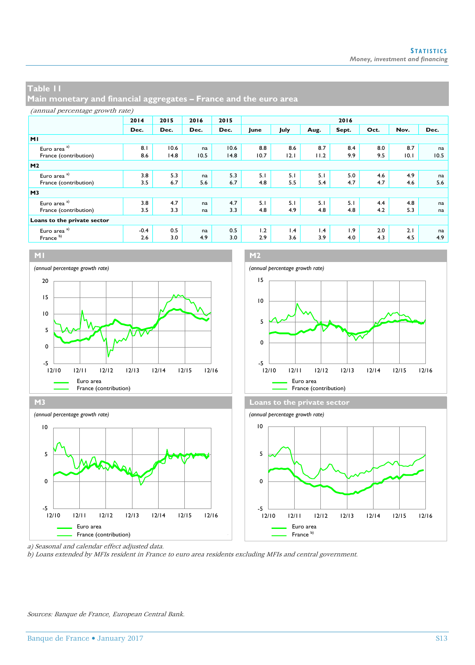**Main monetary and financial aggregates – France and the euro area**

|                             | 2014   | 2015 | 2016 | 2015 |      |      |      | 2016  |      |      |      |
|-----------------------------|--------|------|------|------|------|------|------|-------|------|------|------|
|                             | Dec.   | Dec. | Dec. | Dec. | June | July | Aug. | Sept. | Oct. | Nov. | Dec. |
| MI                          |        |      |      |      |      |      |      |       |      |      |      |
| Euro area <sup>a)</sup>     | 8.1    | 10.6 | na   | 10.6 | 8.8  | 8.6  | 8.7  | 8.4   | 8.0  | 8.7  | na   |
| France (contribution)       | 8.6    | 14.8 | 10.5 | 14.8 | 10.7 | 12.1 | 11.2 | 9.9   | 9.5  | 10.1 | 10.5 |
| M <sub>2</sub>              |        |      |      |      |      |      |      |       |      |      |      |
| Euro area <sup>a)</sup>     | 3.8    | 5.3  | na   | 5.3  | 5.1  | 5.1  | 5.1  | 5.0   | 4.6  | 4.9  | na   |
| France (contribution)       | 3.5    | 6.7  | 5.6  | 6.7  | 4.8  | 5.5  | 5.4  | 4.7   | 4.7  | 4.6  | 5.6  |
| M <sub>3</sub>              |        |      |      |      |      |      |      |       |      |      |      |
| Euro area <sup>a)</sup>     | 3.8    | 4.7  | na   | 4.7  | 5.1  | 5.1  | 5.1  | 5.1   | 4.4  | 4.8  | na   |
| France (contribution)       | 3.5    | 3.3  | na   | 3.3  | 4.8  | 4.9  | 4.8  | 4.8   | 4.2  | 5.3  | na   |
| Loans to the private sector |        |      |      |      |      |      |      |       |      |      |      |
| Euro area <sup>a)</sup>     | $-0.4$ | 0.5  | na   | 0.5  | 1.2  | 1.4  | 1.4  | 1.9   | 2.0  | 2.1  | na   |
| France <sup>b)</sup>        | 2.6    | 3.0  | 4.9  | 3.0  | 2.9  | 3.6  | 3.9  | 4.0   | 4.3  | 4.5  | 4.9  |



a) Seasonal and calendar effect adjusted data.

b) Loans extended by MFIs resident in France to euro area residents excluding MFIs and central government.

Sources: Banque de France, European Central Bank.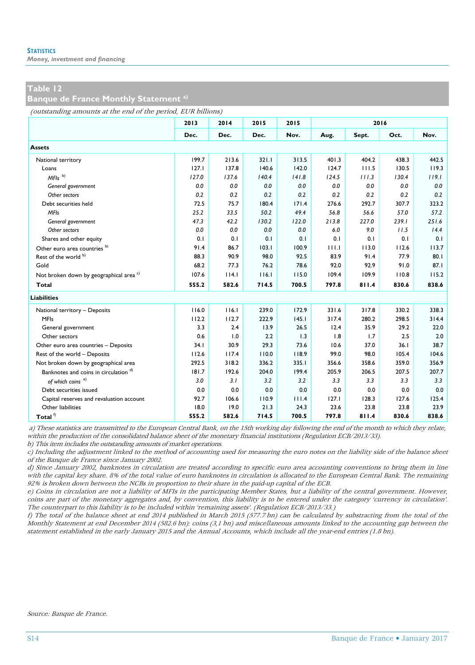*Money, investment and financing*

## **Table 12**

### **Banque de France Monthly Statement a)**

(outstanding amounts at the end of the period, EUR billions)

|                                                    | 2013  | 2014  | 2015  | 2015  |       | 2016  |       |       |
|----------------------------------------------------|-------|-------|-------|-------|-------|-------|-------|-------|
|                                                    | Dec.  | Dec.  | Dec.  | Nov.  | Aug.  | Sept. | Oct.  | Nov.  |
| <b>Assets</b>                                      |       |       |       |       |       |       |       |       |
| National territory                                 | 199.7 | 213.6 | 321.1 | 313.5 | 401.3 | 404.2 | 438.3 | 442.5 |
| Loans                                              | 127.1 | 137.8 | 140.6 | 142.0 | 124.7 | 111.5 | 130.5 | 119.3 |
| $MFls$ <sup>b)</sup>                               | 127.0 | 137.6 | 140.4 | 141.8 | 124.5 | 111.3 | 130.4 | 119.1 |
| General government                                 | 0.0   | 0.0   | 0.0   | 0.0   | 0.0   | 0.0   | 0.0   | 0.0   |
| Other sectors                                      | 0.2   | 0.2   | 0.2   | 0.2   | 0.2   | 0.2   | 0.2   | 0.2   |
| Debt securities held                               | 72.5  | 75.7  | 180.4 | 171.4 | 276.6 | 292.7 | 307.7 | 323.2 |
| <b>MFIs</b>                                        | 25.2  | 33.5  | 50.2  | 49.4  | 56.8  | 56.6  | 57.0  | 57.2  |
| General government                                 | 47.3  | 42.2  | 130.2 | 122.0 | 213.8 | 227.0 | 239.1 | 251.6 |
| Other sectors                                      | 0.0   | 0.0   | 0.0   | 0.0   | 6.0   | 9.0   | 11.5  | 14.4  |
| Shares and other equity                            | 0.1   | 0.1   | 0.1   | 0.1   | 0.1   | 0.1   | 0.1   | 0.1   |
| Other euro area countries <sup>b)</sup>            | 91.4  | 86.7  | 103.1 | 100.9 | HLL   | 113.0 | 112.6 | 113.7 |
| Rest of the world b)                               | 88.3  | 90.9  | 98.0  | 92.5  | 83.9  | 91.4  | 77.9  | 80.1  |
| Gold                                               | 68.2  | 77.3  | 76.2  | 78.6  | 92.0  | 92.9  | 91.0  | 87.1  |
| Not broken down by geographical area <sup>c)</sup> | 107.6 | 114.1 | 116.1 | 115.0 | 109.4 | 109.9 | 110.8 | 115.2 |
| Total                                              | 555.2 | 582.6 | 714.5 | 700.5 | 797.8 | 811.4 | 830.6 | 838.6 |
| <b>Liabilities</b>                                 |       |       |       |       |       |       |       |       |
| National territory - Deposits                      | 116.0 | 116.1 | 239.0 | 172.9 | 331.6 | 317.8 | 330.2 | 338.3 |
| <b>MFIs</b>                                        | 112.2 | 112.7 | 222.9 | 145.1 | 317.4 | 280.2 | 298.5 | 314.4 |
| General government                                 | 3.3   | 2.4   | 13.9  | 26.5  | 12.4  | 35.9  | 29.2  | 22.0  |
| Other sectors                                      | 0.6   | 1.0   | 2.2   | 1.3   | 1.8   | 1.7   | 2.5   | 2.0   |
| Other euro area countries - Deposits               | 34.1  | 30.9  | 29.3  | 73.6  | 10.6  | 37.0  | 36.1  | 38.7  |
| Rest of the world - Deposits                       | 112.6 | 117.4 | 110.0 | 118.9 | 99.0  | 98.0  | 105.4 | 104.6 |
| Not broken down by geographical area               | 292.5 | 318.2 | 336.2 | 335.1 | 356.6 | 358.6 | 359.0 | 356.9 |
| Banknotes and coins in circulation d)              | 181.7 | 192.6 | 204.0 | 199.4 | 205.9 | 206.5 | 207.5 | 207.7 |
| of which coins <sup>e)</sup>                       | 3.0   | 3.1   | 3.2   | 3.2   | 3.3   | 3.3   | 3.3   | 3.3   |
| Debt securities issued                             | 0.0   | 0.0   | 0.0   | 0.0   | 0.0   | 0.0   | 0.0   | 0.0   |
| Capital reserves and revaluation account           | 92.7  | 106.6 | 110.9 | 111.4 | 127.1 | 128.3 | 127.6 | 125.4 |
| Other liabilities                                  | 18.0  | 19.0  | 21.3  | 24.3  | 23.6  | 23.8  | 23.8  | 23.9  |
| Total $^\mathrm{f)}$                               | 555.2 | 582.6 | 714.5 | 700.5 | 797.8 | 811.4 | 830.6 | 838.6 |

a) These statistics are transmitted to the European Central Bank, on the 15th working day following the end of the month to which they relate, within the production of the consolidated balance sheet of the monetary financial institutions (Regulation ECB/2013/33).

b) This item includes the outstanding amounts of market operations.

c) Including the adjustment linked to the method of accounting used for measuring the euro notes on the liability side of the balance sheet of the Banque de France since January 2002.

d) Since January 2002, banknotes in circulation are treated according to specific euro area accounting conventions to bring them in line with the capital key share. 8% of the total value of euro banknotes in circulation is allocated to the European Central Bank. The remaining 92% is broken down between the NCBs in proportion to their share in the paid-up capital of the ECB.

e) Coins in circulation are not a liability of MFIs in the participating Member States, but a liability of the central government. However, coins are part of the monetary aggregates and, by convention, this liability is to be entered under the category 'currency in circulation'. The counterpart to this liability is to be included within 'remaining assets'. (Regulation ECB/2013/33.)

f) The total of the balance sheet at end 2014 published in March 2015 (577.7 bn) can be calculated by substracting from the total of the Monthly Statement at end December 2014 (582.6 bn): coins (3,1 bn) and miscellaneous amounts linked to the accounting gap between the statement established in the early January 2015 and the Annual Accounts, which include all the year-end entries (1.8 bn).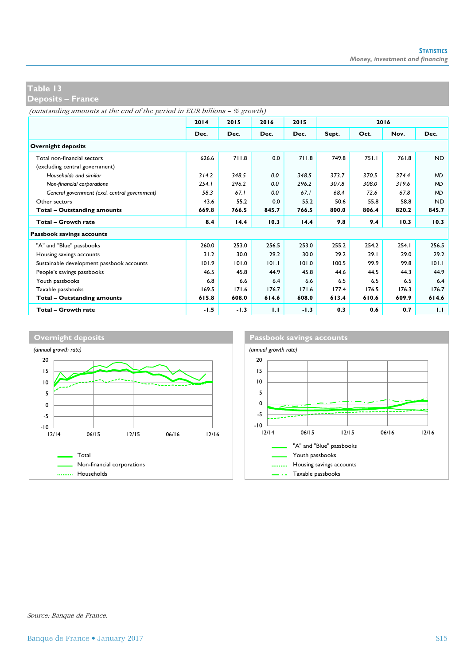**Deposits – France**

(outstanding amounts at the end of the period in EUR billions – % growth)

|                                               | 2014   | 2015   | 2016  | 2015   |       | 2016  |       |           |  |
|-----------------------------------------------|--------|--------|-------|--------|-------|-------|-------|-----------|--|
|                                               | Dec.   | Dec.   | Dec.  | Dec.   | Sept. | Oct.  | Nov.  | Dec.      |  |
| <b>Overnight deposits</b>                     |        |        |       |        |       |       |       |           |  |
| Total non-financial sectors                   | 626.6  | 711.8  | 0.0   | 711.8  | 749.8 | 751.1 | 761.8 | <b>ND</b> |  |
| (excluding central government)                |        |        |       |        |       |       |       |           |  |
| Households and similar                        | 314.2  | 348.5  | 0.0   | 348.5  | 373.7 | 370.5 | 374.4 | <b>ND</b> |  |
| Non-financial corporations                    | 254.1  | 296.2  | 0.0   | 296.2  | 307.8 | 308.0 | 319.6 | <b>ND</b> |  |
| General government (excl. central government) | 58.3   | 67.1   | 0.0   | 67.1   | 68.4  | 72.6  | 67.8  | <b>ND</b> |  |
| Other sectors                                 | 43.6   | 55.2   | 0.0   | 55.2   | 50.6  | 55.8  | 58.8  | <b>ND</b> |  |
| <b>Total - Outstanding amounts</b>            | 669.8  | 766.5  | 845.7 | 766.5  | 800.0 | 806.4 | 820.2 | 845.7     |  |
| Total - Growth rate                           | 8.4    | 14.4   | 10.3  | 14.4   | 9.8   | 9.4   | 10.3  | 10.3      |  |
| Passbook savings accounts                     |        |        |       |        |       |       |       |           |  |
| "A" and "Blue" passbooks                      | 260.0  | 253.0  | 256.5 | 253.0  | 255.2 | 254.2 | 254.1 | 256.5     |  |
| Housing savings accounts                      | 31.2   | 30.0   | 29.2  | 30.0   | 29.2  | 29.1  | 29.0  | 29.2      |  |
| Sustainable development passbook accounts     | 101.9  | 101.0  | 101.1 | 101.0  | 100.5 | 99.9  | 99.8  | 101.1     |  |
| People's savings passbooks                    | 46.5   | 45.8   | 44.9  | 45.8   | 44.6  | 44.5  | 44.3  | 44.9      |  |
| Youth passbooks                               | 6.8    | 6.6    | 6.4   | 6.6    | 6.5   | 6.5   | 6.5   | 6.4       |  |
| Taxable passbooks                             | 169.5  | 171.6  | 176.7 | 171.6  | 177.4 | 176.5 | 176.3 | 176.7     |  |
| <b>Total - Outstanding amounts</b>            | 615.8  | 608.0  | 614.6 | 608.0  | 613.4 | 610.6 | 609.9 | 614.6     |  |
| <b>Total - Growth rate</b>                    | $-1.5$ | $-1.3$ | 1.1   | $-1.3$ | 0.3   | 0.6   | 0.7   | 1.1       |  |

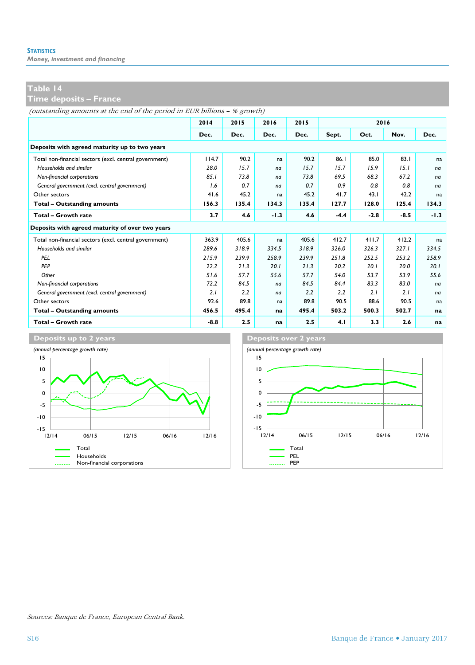*Money, investment and financing*

## **Table 14**

## **Time deposits – France**

(outstanding amounts at the end of the period in EUR billions – % growth)

|                                                        | 2014   | 2015  | 2016   | 2015  |        | 2016   |        |        |
|--------------------------------------------------------|--------|-------|--------|-------|--------|--------|--------|--------|
|                                                        | Dec.   | Dec.  | Dec.   | Dec.  | Sept.  | Oct.   | Nov.   | Dec.   |
| Deposits with agreed maturity up to two years          |        |       |        |       |        |        |        |        |
| Total non-financial sectors (excl. central government) | 114.7  | 90.2  | na     | 90.2  | 86.1   | 85.0   | 83.1   | na     |
| Households and similar                                 | 28.0   | 15.7  | na     | 15.7  | 15.7   | 15.9   | 15.1   | na     |
| Non-financial corporations                             | 85.1   | 73.8  | na     | 73.8  | 69.5   | 68.3   | 67.2   | na     |
| General government (excl. central government)          | 1.6    | 0.7   | na     | 0.7   | 0.9    | 0.8    | 0.8    | na     |
| Other sectors                                          | 41.6   | 45.2  | na     | 45.2  | 41.7   | 43.1   | 42.2   | na     |
| Total - Outstanding amounts                            | 156.3  | 135.4 | 134.3  | 135.4 | 127.7  | 128.0  | 125.4  | 134.3  |
| Total - Growth rate                                    | 3.7    | 4.6   | $-1.3$ | 4.6   | $-4.4$ | $-2.8$ | $-8.5$ | $-1.3$ |
| Deposits with agreed maturity of over two years        |        |       |        |       |        |        |        |        |
| Total non-financial sectors (excl. central government) | 363.9  | 405.6 | na     | 405.6 | 412.7  | 411.7  | 412.2  | na     |
| Households and similar                                 | 289.6  | 318.9 | 334.5  | 318.9 | 326.0  | 326.3  | 327.1  | 334.5  |
| PEL                                                    | 215.9  | 239.9 | 258.9  | 239.9 | 251.8  | 252.5  | 253.2  | 258.9  |
| PEP                                                    | 22.2   | 21.3  | 20.1   | 21.3  | 20.2   | 20.1   | 20.0   | 20.1   |
| Other                                                  | 51.6   | 57.7  | 55.6   | 57.7  | 54.0   | 53.7   | 53.9   | 55.6   |
| Non-financial corporations                             | 72.2   | 84.5  | na     | 84.5  | 84.4   | 83.3   | 83.0   | na     |
| General government (excl. central government)          | 2.1    | 2.2   | na     | 2.2   | 2.2    | 2.1    | 2.1    | na     |
| Other sectors                                          | 92.6   | 89.8  | na     | 89.8  | 90.5   | 88.6   | 90.5   | na     |
| Total - Outstanding amounts                            | 456.5  | 495.4 | na     | 495.4 | 503.2  | 500.3  | 502.7  | na     |
| Total - Growth rate                                    | $-8.8$ | 2.5   | na     | 2.5   | 4.1    | 3.3    | 2.6    | na     |





Sources: Banque de France, European Central Bank.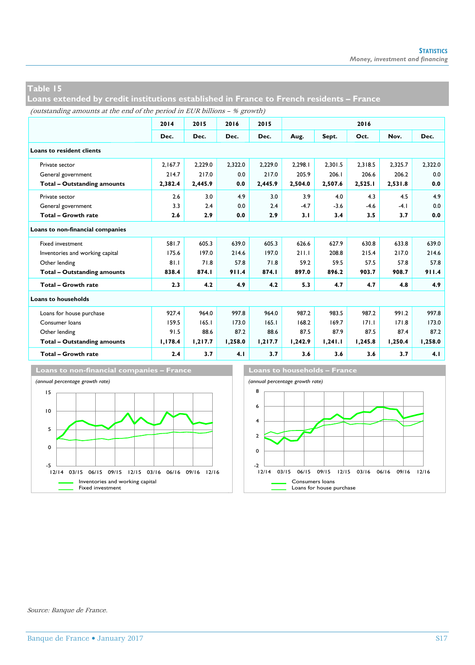**Loans extended by credit institutions established in France to French residents – France**

(outstanding amounts at the end of the period in EUR billions – % growth)

|                                    | 2014    | 2015    | 2016    | 2015    |         |         | 2016    |         |         |
|------------------------------------|---------|---------|---------|---------|---------|---------|---------|---------|---------|
|                                    | Dec.    | Dec.    | Dec.    | Dec.    | Aug.    | Sept.   | Oct.    | Nov.    | Dec.    |
| <b>Loans to resident clients</b>   |         |         |         |         |         |         |         |         |         |
| Private sector                     | 2.167.7 | 2.229.0 | 2.322.0 | 2.229.0 | 2.298.1 | 2.301.5 | 2.318.5 | 2.325.7 | 2.322.0 |
| General government                 | 214.7   | 217.0   | 0.0     | 217.0   | 205.9   | 206.1   | 206.6   | 206.2   | 0.0     |
| <b>Total - Outstanding amounts</b> | 2,382.4 | 2,445.9 | 0.0     | 2,445.9 | 2,504.0 | 2,507.6 | 2,525.1 | 2,531.8 | 0.0     |
| Private sector                     | 2.6     | 3.0     | 4.9     | 3.0     | 3.9     | 4.0     | 4.3     | 4.5     | 4.9     |
| General government                 | 3.3     | 2.4     | 0.0     | 2.4     | $-4.7$  | $-3.6$  | $-4.6$  | $-4.1$  | 0.0     |
| Total - Growth rate                | 2.6     | 2.9     | 0.0     | 2.9     | 3.1     | 3.4     | 3.5     | 3.7     | 0.0     |
| Loans to non-financial companies   |         |         |         |         |         |         |         |         |         |
| <b>Fixed investment</b>            | 581.7   | 605.3   | 639.0   | 605.3   | 626.6   | 627.9   | 630.8   | 633.8   | 639.0   |
| Inventories and working capital    | 175.6   | 197.0   | 214.6   | 197.0   | 211.1   | 208.8   | 215.4   | 217.0   | 214.6   |
| Other lending                      | 81.1    | 71.8    | 57.8    | 71.8    | 59.2    | 59.5    | 57.5    | 57.8    | 57.8    |
| <b>Total - Outstanding amounts</b> | 838.4   | 874.1   | 911.4   | 874.I   | 897.0   | 896.2   | 903.7   | 908.7   | 911.4   |
| <b>Total - Growth rate</b>         | 2.3     | 4.2     | 4.9     | 4.2     | 5.3     | 4.7     | 4.7     | 4.8     | 4.9     |
| Loans to households                |         |         |         |         |         |         |         |         |         |
| Loans for house purchase           | 927.4   | 964.0   | 997.8   | 964.0   | 987.2   | 983.5   | 987.2   | 991.2   | 997.8   |
| Consumer loans                     | 159.5   | 165.1   | 173.0   | 165.1   | 168.2   | 169.7   | 171.1   | 171.8   | 173.0   |
| Other lending                      | 91.5    | 88.6    | 87.2    | 88.6    | 87.5    | 87.9    | 87.5    | 87.4    | 87.2    |
| Total - Outstanding amounts        | 1.178.4 | 1,217.7 | 1,258.0 | 1,217.7 | 1,242.9 | 1,241.1 | 1,245.8 | 1,250.4 | 1,258.0 |
| <b>Total - Growth rate</b>         | 2.4     | 3.7     | 4.1     | 3.7     | 3.6     | 3.6     | 3.6     | 3.7     | 4.1     |





Source: Banque de France.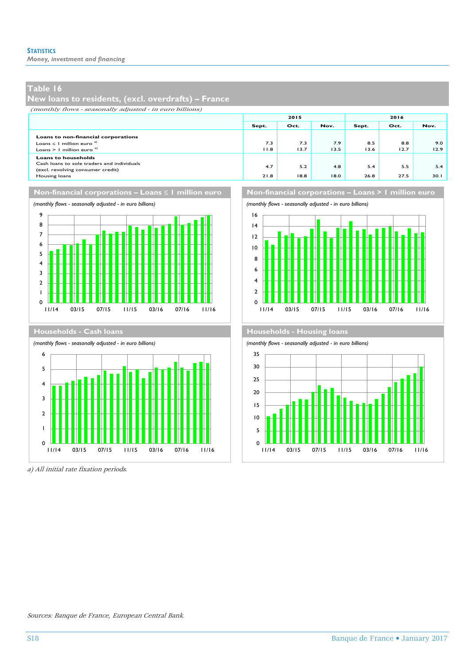*Money, investment and financing*

## **Table 16**

 $\mathbf{o}$ 1

## **New loans to residents, (excl. overdrafts) – France**

(monthly flows - seasonally adjusted - in euro billions)

|                                                                                                                                |             | 2015        |             | 2016        |             |             |  |
|--------------------------------------------------------------------------------------------------------------------------------|-------------|-------------|-------------|-------------|-------------|-------------|--|
|                                                                                                                                | Sept.       | Oct.        | Nov.        | Sept.       | Oct.        | Nov.        |  |
| Loans to non-financial corporations<br>Loans $\leq$ 1 million euro <sup>d</sup><br>Loans > 1 million euro $a$                  | 7.3<br>11.8 | 7.3<br>13.7 | 7.9<br>13.5 | 8.5<br>13.6 | 8.8<br>12.7 | 9.0<br>12.9 |  |
| <b>Loans to households</b><br>Cash loans to sole traders and individuals<br>(excl. revolving consumer credit)<br>Housing loans | 4.7<br>21.8 | 5.2<br>18.8 | 4.8<br>18.0 | 5.4<br>26.8 | 5.5<br>27.5 | 5.4<br>30.I |  |



11/14 03/15 07/15 11/15 03/16 07/16 11/16

Non-financial corporations – Loans ≤ 1 million euro **Non-financial corporations – Loans > 1 million euro** 





a) All initial rate fixation periods.

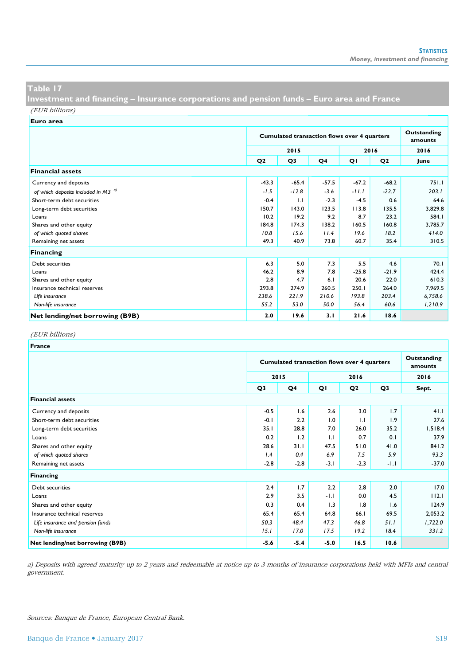**Investment and financing – Insurance corporations and pension funds – Euro area and France**

(EUR billions)

| Euro area                                      |                                                    |                        |                |         |                |         |
|------------------------------------------------|----------------------------------------------------|------------------------|----------------|---------|----------------|---------|
|                                                | <b>Cumulated transaction flows over 4 quarters</b> | Outstanding<br>amounts |                |         |                |         |
|                                                |                                                    | 2015                   |                |         | 2016           | 2016    |
|                                                | Q <sub>2</sub>                                     | Q3                     | Q <sub>4</sub> | QI      | Q <sub>2</sub> | June    |
| <b>Financial assets</b>                        |                                                    |                        |                |         |                |         |
| Currency and deposits                          | $-43.3$                                            | $-65.4$                | $-57.5$        | $-67.2$ | $-68.2$        | 751.1   |
| of which deposits included in M3 <sup>a)</sup> | $-1.5$                                             | $-12.8$                | $-3.6$         | $-11.1$ | $-22.7$        | 203.1   |
| Short-term debt securities                     | $-0.4$                                             | 1.1                    | $-2.3$         | $-4.5$  | 0.6            | 64.6    |
| Long-term debt securities                      | 150.7                                              | 143.0                  | 123.5          | 113.8   | 135.5          | 3,829.8 |
| Loans                                          | 10.2                                               | 19.2                   | 9.2            | 8.7     | 23.2           | 584.I   |
| Shares and other equity                        | 184.8                                              | 174.3                  | 138.2          | 160.5   | 160.8          | 3,785.7 |
| of which quoted shares                         | 10.8                                               | 15.6                   | 11.4           | 19.6    | 18.2           | 414.0   |
| Remaining net assets                           | 49.3                                               | 40.9                   | 73.8           | 60.7    | 35.4           | 310.5   |
| Financing                                      |                                                    |                        |                |         |                |         |
| Debt securities                                | 6.3                                                | 5.0                    | 7.3            | 5.5     | 4.6            | 70.1    |
| Loans                                          | 46.2                                               | 8.9                    | 7.8            | $-25.8$ | $-21.9$        | 424.4   |
| Shares and other equity                        | 2.8                                                | 4.7                    | 6.1            | 20.6    | 22.0           | 610.3   |
| Insurance technical reserves                   | 293.8                                              | 274.9                  | 260.5          | 250.1   | 264.0          | 7.969.5 |
| Life insurance                                 | 238.6                                              | 221.9                  | 210.6          | 193.8   | 203.4          | 6,758.6 |
| Non-life insurance                             | 55.2                                               | 53.0                   | 50.0           | 56.4    | 60.6           | 1,210.9 |
| Net lending/net borrowing (B9B)                | 2.0                                                | 19.6                   | 3.1            | 21.6    | 18.6           |         |

#### (EUR billions)

| <b>France</b>                    |        |                                                    |        |                |                |         |  |  |
|----------------------------------|--------|----------------------------------------------------|--------|----------------|----------------|---------|--|--|
|                                  |        | <b>Cumulated transaction flows over 4 quarters</b> |        |                |                |         |  |  |
|                                  |        | 2015                                               |        | 2016           |                | 2016    |  |  |
|                                  | Q3     | Q4                                                 | QI     | Q <sub>2</sub> | Q <sub>3</sub> | Sept.   |  |  |
| <b>Financial assets</b>          |        |                                                    |        |                |                |         |  |  |
| Currency and deposits            | $-0.5$ | 1.6                                                | 2.6    | 3.0            | 1.7            | 41.1    |  |  |
| Short-term debt securities       | $-0.1$ | 2.2                                                | 1.0    | 1.1            | 1.9            | 27.6    |  |  |
| Long-term debt securities        | 35.1   | 28.8                                               | 7.0    | 26.0           | 35.2           | 1,518.4 |  |  |
| Loans                            | 0.2    | 1.2                                                | 1.1    | 0.7            | 0.1            | 37.9    |  |  |
| Shares and other equity          | 28.6   | 31.1                                               | 47.5   | 51.0           | 41.0           | 841.2   |  |  |
| of which quoted shares           | 1.4    | 0.4                                                | 6.9    | 7.5            | 5.9            | 93.3    |  |  |
| Remaining net assets             | $-2.8$ | $-2.8$                                             | $-3.1$ | $-2.3$         | $-1.1$         | $-37.0$ |  |  |
| Financing                        |        |                                                    |        |                |                |         |  |  |
| Debt securities                  | 2.4    | 1.7                                                | 2.2    | 2.8            | 2.0            | 17.0    |  |  |
| Loans                            | 2.9    | 3.5                                                | $-1.1$ | 0.0            | 4.5            | 112.1   |  |  |
| Shares and other equity          | 0.3    | 0.4                                                | 1.3    | 1.8            | 1.6            | 124.9   |  |  |
| Insurance technical reserves     | 65.4   | 65.4                                               | 64.8   | 66.I           | 69.5           | 2,053.2 |  |  |
| Life insurance and pension funds | 50.3   | 48.4                                               | 47.3   | 46.8           | 51.1           | 1,722.0 |  |  |
| Non-life insurance               | 15.1   | 17.0                                               | 17.5   | 19.2           | 18.4           | 331.2   |  |  |
| Net lending/net borrowing (B9B)  | $-5.6$ | $-5.4$                                             | $-5.0$ | 16.5           | 10.6           |         |  |  |

a) Deposits with agreed maturity up to 2 years and redeemable at notice up to 3 months of insurance corporations held with MFIs and central government.

Sources: Banque de France, European Central Bank.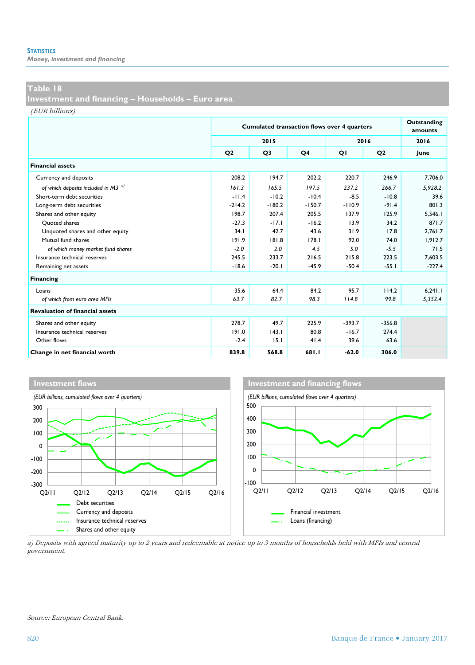*Money, investment and financing*

## **Table 18**

**Investment and financing – Households – Euro area** 

(EUR billions)

|                                                |                | <b>Cumulated transaction flows over 4 quarters</b> | Outstanding<br>amounts |          |                |          |
|------------------------------------------------|----------------|----------------------------------------------------|------------------------|----------|----------------|----------|
|                                                |                | 2015                                               |                        |          | 2016           | 2016     |
|                                                | Q <sub>2</sub> | Q <sub>3</sub>                                     | Q4                     | QI       | Q <sub>2</sub> | June     |
| <b>Financial assets</b>                        |                |                                                    |                        |          |                |          |
| Currency and deposits                          | 208.2          | 194.7                                              | 202.2                  | 220.7    | 246.9          | 7.706.0  |
| of which deposits included in M3 <sup>a)</sup> | 161.3          | 165.5                                              | 197.5                  | 237.2    | 266.7          | 5.928.2  |
| Short-term debt securities                     | $-11.4$        | $-10.2$                                            | $-10.4$                | $-8.5$   | $-10.8$        | 39.6     |
| Long-term debt securities                      | $-214.2$       | $-180.2$                                           | $-150.7$               | $-110.9$ | $-91.4$        | 801.3    |
| Shares and other equity                        | 198.7          | 207.4                                              | 205.5                  | 137.9    | 125.9          | 5.546.1  |
| Ouoted shares                                  | $-27.3$        | $-17.1$                                            | $-16.2$                | 13.9     | 34.2           | 871.7    |
| Unquoted shares and other equity               | 34.1           | 42.7                                               | 43.6                   | 31.9     | 17.8           | 2.761.7  |
| Mutual fund shares                             | 191.9          | 181.8                                              | 178.1                  | 92.0     | 74.0           | 1.912.7  |
| of which money market fund shares              | $-2.0$         | 2.0                                                | 4.5                    | 5.0      | $-5.5$         | 71.5     |
| Insurance technical reserves                   | 245.5          | 233.7                                              | 216.5                  | 215.8    | 223.5          | 7.603.5  |
| Remaining net assets                           | $-18.6$        | $-20.1$                                            | $-45.9$                | $-50.4$  | $-55.1$        | $-227.4$ |
| Financing                                      |                |                                                    |                        |          |                |          |
| Loans                                          | 35.6           | 64.4                                               | 84.2                   | 95.7     | 114.2          | 6.241.1  |
| of which from euro area MFIs                   | 63.7           | 82.7                                               | 98.3                   | 114.8    | 99.8           | 5,352.4  |
| <b>Revaluation of financial assets</b>         |                |                                                    |                        |          |                |          |
| Shares and other equity                        | 278.7          | 49.7                                               | 225.9                  | $-393.7$ | $-356.8$       |          |
| Insurance technical reserves                   | 191.0          | 143.1                                              | 80.8                   | $-16.7$  | 274.4          |          |
| Other flows                                    | $-2.4$         | 15.1                                               | 41.4                   | 39.6     | 63.6           |          |
| Change in net financial worth                  | 839.8          | 568.8                                              | 681.1                  | $-62.0$  | 306.0          |          |



a) Deposits with agreed maturity up to 2 years and redeemable at notice up to 3 months of households held with MFIs and central government.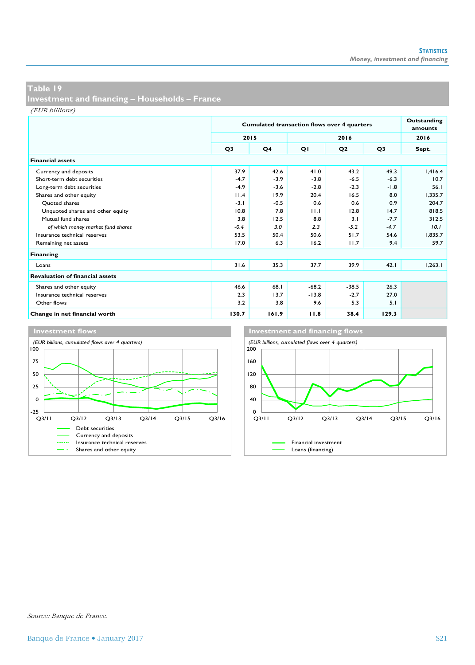**Investment and financing – Households – France**

(EUR billions)

|                                        |                | <b>Cumulated transaction flows over 4 quarters</b> | Outstanding<br>amounts |                |        |         |
|----------------------------------------|----------------|----------------------------------------------------|------------------------|----------------|--------|---------|
|                                        |                | 2015<br>2016                                       |                        |                |        | 2016    |
|                                        | Q <sub>3</sub> | Q <sub>4</sub>                                     | QI                     | Q <sub>2</sub> | Q3     | Sept.   |
| <b>Financial assets</b>                |                |                                                    |                        |                |        |         |
| Currency and deposits                  | 37.9           | 42.6                                               | 41.0                   | 43.2           | 49.3   | 1,416.4 |
| Short-term debt securities             | $-4.7$         | $-3.9$                                             | $-3.8$                 | $-6.5$         | $-6.3$ | 10.7    |
| Long-term debt securities              | $-4.9$         | $-3.6$                                             | $-2.8$                 | $-2.3$         | $-1.8$ | 56.1    |
| Shares and other equity                | 11.4           | 19.9                                               | 20.4                   | 16.5           | 8.0    | 1.335.7 |
| Ouoted shares                          | $-3.1$         | $-0.5$                                             | 0.6                    | 0.6            | 0.9    | 204.7   |
| Unquoted shares and other equity       | 10.8           | 7.8                                                | 11.1                   | 12.8           | 14.7   | 818.5   |
| Mutual fund shares                     | 3.8            | 12.5                                               | 8.8                    | 3.1            | $-7.7$ | 312.5   |
| of which money market fund shares      | $-0.4$         | 3.0                                                | 2.3                    | $-5.2$         | $-4.7$ | 10.1    |
| Insurance technical reserves           | 53.5           | 50.4                                               | 50.6                   | 51.7           | 54.6   | 1.835.7 |
| Remaining net assets                   | 17.0           | 6.3                                                | 16.2                   | 11.7           | 9.4    | 59.7    |
| Financing                              |                |                                                    |                        |                |        |         |
| Loans                                  | 31.6           | 35.3                                               | 37.7                   | 39.9           | 42.1   | 1.263.1 |
| <b>Revaluation of financial assets</b> |                |                                                    |                        |                |        |         |
| Shares and other equity                | 46.6           | 68.1                                               | $-68.2$                | $-38.5$        | 26.3   |         |
| Insurance technical reserves           | 2.3            | 13.7                                               | $-13.8$                | $-2.7$         | 27.0   |         |
| Other flows                            | 3.2            | 3.8                                                | 9.6                    | 5.3            | 5.1    |         |
| Change in net financial worth          | 130.7          | 161.9                                              | 11.8                   | 38.4           | 129.3  |         |

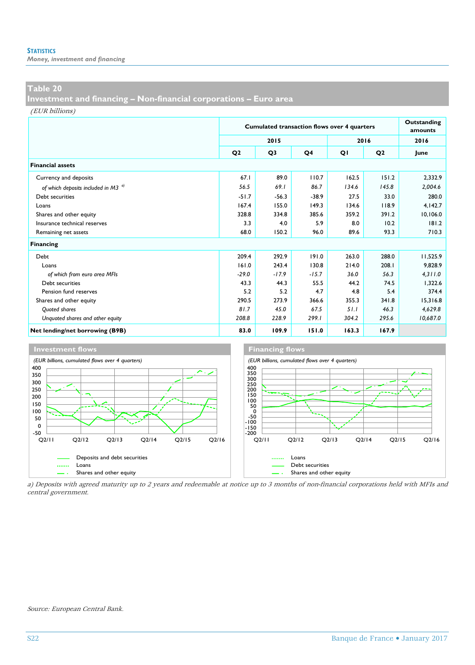*Money, investment and financing*

## **Table 20**

**Investment and financing – Non-financial corporations – Euro area**

(EUR billions)

|                                                |                | <b>Cumulated transaction flows over 4 quarters</b> | Outstanding<br>amounts |       |                |          |
|------------------------------------------------|----------------|----------------------------------------------------|------------------------|-------|----------------|----------|
|                                                |                | 2015                                               |                        |       | 2016           | 2016     |
|                                                | Q <sub>2</sub> | Q3                                                 | Q <sub>4</sub>         | QI    | Q <sub>2</sub> | June     |
| <b>Financial assets</b>                        |                |                                                    |                        |       |                |          |
| Currency and deposits                          | 67.1           | 89.0                                               | 110.7                  | 162.5 | 151.2          | 2.332.9  |
| of which deposits included in M3 <sup>a)</sup> | 56.5           | 69.1                                               | 86.7                   | 134.6 | 145.8          | 2.004.6  |
| Debt securities                                | $-51.7$        | $-56.3$                                            | $-38.9$                | 27.5  | 33.0           | 280.0    |
| Loans                                          | 167.4          | 155.0                                              | 149.3                  | 134.6 | 118.9          | 4,142.7  |
| Shares and other equity                        | 328.8          | 334.8                                              | 385.6                  | 359.2 | 391.2          | 10,106.0 |
| Insurance technical reserves                   | 3.3            | 4.0                                                | 5.9                    | 8.0   | 10.2           | 181.2    |
| Remaining net assets                           | 68.0           | 150.2                                              | 96.0                   | 89.6  | 93.3           | 710.3    |
| Financing                                      |                |                                                    |                        |       |                |          |
| Debt                                           | 209.4          | 292.9                                              | 191.0                  | 263.0 | 288.0          | 11,525.9 |
| Loans                                          | 161.0          | 243.4                                              | 130.8                  | 214.0 | 208.1          | 9.828.9  |
| of which from euro area MFIs                   | $-29.0$        | $-17.9$                                            | $-15.7$                | 36.0  | 56.3           | 4.311.0  |
| Debt securities                                | 43.3           | 44.3                                               | 55.5                   | 44.2  | 74.5           | 1.322.6  |
| Pension fund reserves                          | 5.2            | 5.2                                                | 4.7                    | 4.8   | 5.4            | 374.4    |
| Shares and other equity                        | 290.5          | 273.9                                              | 366.6                  | 355.3 | 341.8          | 15.316.8 |
| <b>Ouoted shares</b>                           | 81.7           | 45.0                                               | 67.5                   | 51.1  | 46.3           | 4.629.8  |
| Unquoted shares and other equity               | 208.8          | 228.9                                              | 299.1                  | 304.2 | 295.6          | 10,687.0 |
| Net lending/net borrowing (B9B)                | 83.0           | 109.9                                              | 151.0                  | 163.3 | 167.9          |          |



a) Deposits with agreed maturity up to 2 years and redeemable at notice up to 3 months of non-financial corporations held with MFIs and central government.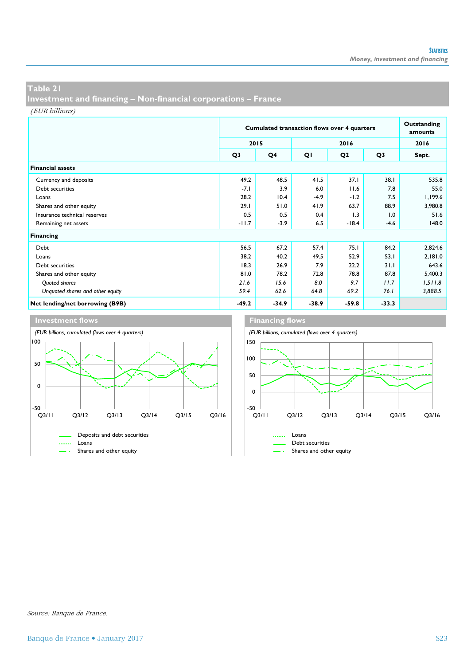**Investment and financing – Non-financial corporations – France**

(EUR billions)

|                                  |                | <b>Cumulated transaction flows over 4 quarters</b> |         |                |         |         |  |  |
|----------------------------------|----------------|----------------------------------------------------|---------|----------------|---------|---------|--|--|
|                                  |                | 2015                                               |         | 2016           |         |         |  |  |
|                                  | Q <sub>3</sub> | Q4                                                 | QI      | Q <sub>2</sub> | Q3      | Sept.   |  |  |
| <b>Financial assets</b>          |                |                                                    |         |                |         |         |  |  |
| Currency and deposits            | 49.2           | 48.5                                               | 41.5    | 37.1           | 38.1    | 535.8   |  |  |
| Debt securities                  | $-7.1$         | 3.9                                                | 6.0     | 11.6           | 7.8     | 55.0    |  |  |
| Loans                            | 28.2           | 10.4                                               | $-4.9$  | $-1.2$         | 7.5     | 1,199.6 |  |  |
| Shares and other equity          | 29.1           | 51.0                                               | 41.9    | 63.7           | 88.9    | 3,980.8 |  |  |
| Insurance technical reserves     | 0.5            | 0.5                                                | 0.4     | 1.3            | 1.0     | 51.6    |  |  |
| Remaining net assets             | $-11.7$        | $-3.9$                                             | 6.5     | $-18.4$        | $-4.6$  | 148.0   |  |  |
| Financing                        |                |                                                    |         |                |         |         |  |  |
| Debt                             | 56.5           | 67.2                                               | 57.4    | 75.1           | 84.2    | 2,824.6 |  |  |
| Loans                            | 38.2           | 40.2                                               | 49.5    | 52.9           | 53.1    | 2,181.0 |  |  |
| Debt securities                  | 18.3           | 26.9                                               | 7.9     | 22.2           | 31.1    | 643.6   |  |  |
| Shares and other equity          | 81.0           | 78.2                                               | 72.8    | 78.8           | 87.8    | 5,400.3 |  |  |
| Quoted shares                    | 21.6           | 15.6                                               | 8.0     | 9.7            | 11.7    | 1,511.8 |  |  |
| Unquoted shares and other equity | 59.4           | 62.6                                               | 64.8    | 69.2           | 76.1    | 3,888.5 |  |  |
| Net lending/net borrowing (B9B)  | $-49.2$        | $-34.9$                                            | $-38.9$ | $-59.8$        | $-33.3$ |         |  |  |



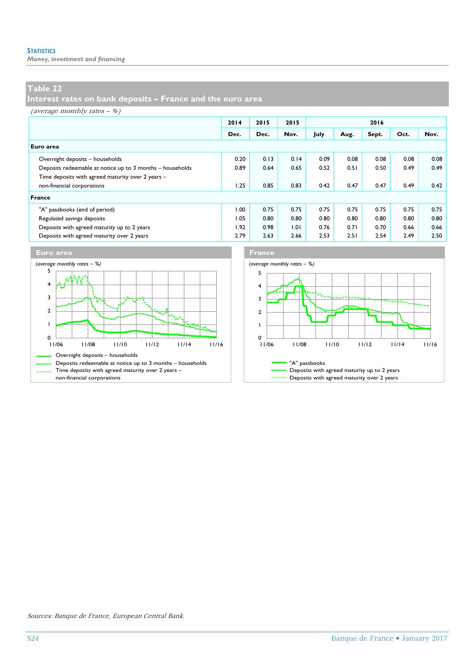*Money, investment and financing*

## **Table 22**

**Interest rates on bank deposits – France and the euro area**

(average monthly rates – %)

|                                                           | 2014 | 2015 | 2015 |      |      | 2016  |      |      |
|-----------------------------------------------------------|------|------|------|------|------|-------|------|------|
|                                                           | Dec. | Dec. | Nov. | July | Aug. | Sept. | Oct. | Nov. |
| Euro area                                                 |      |      |      |      |      |       |      |      |
| Overnight deposits - households                           | 0.20 | 0.13 | 0.14 | 0.09 | 0.08 | 0.08  | 0.08 | 0.08 |
| Deposits redeemable at notice up to 3 months - households | 0.89 | 0.64 | 0.65 | 0.52 | 0.51 | 0.50  | 0.49 | 0.49 |
| Time deposits with agreed maturity over 2 years -         |      |      |      |      |      |       |      |      |
| non-financial corporations                                | 1.25 | 0.85 | 0.83 | 0.42 | 0.47 | 0.47  | 0.49 | 0.42 |
| France                                                    |      |      |      |      |      |       |      |      |
| "A" passbooks (end of period)                             | 1.00 | 0.75 | 0.75 | 0.75 | 0.75 | 0.75  | 0.75 | 0.75 |
| Regulated savings deposits                                | 1.05 | 0.80 | 0.80 | 0.80 | 0.80 | 0.80  | 0.80 | 0.80 |
| Deposits with agreed maturity up to 2 years               | 1.92 | 0.98 | 1.01 | 0.76 | 0.71 | 0.70  | 0.66 | 0.66 |
| Deposits with agreed maturity over 2 years                | 2.79 | 2.63 | 2.66 | 2.53 | 2.51 | 2.54  | 2.49 | 2.50 |



Sources: Banque de France, European Central Bank.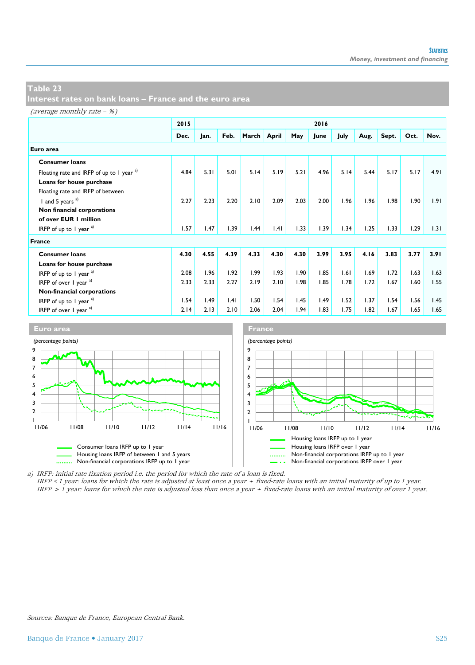**Interest rates on bank loans – France and the euro area**

#### (average monthly rate – %)

|                                                      | 2015 | 2016 |      |       |       |      |      |      |      |       |      |      |
|------------------------------------------------------|------|------|------|-------|-------|------|------|------|------|-------|------|------|
|                                                      | Dec. | Jan. | Feb. | March | April | May  | June | July | Aug. | Sept. | Oct. | Nov. |
| Euro area                                            |      |      |      |       |       |      |      |      |      |       |      |      |
| <b>Consumer loans</b>                                |      |      |      |       |       |      |      |      |      |       |      |      |
| Floating rate and IRFP of up to 1 year <sup>a)</sup> | 4.84 | 5.31 | 5.01 | 5.14  | 5.19  | 5.21 | 4.96 | 5.14 | 5.44 | 5.17  | 5.17 | 4.91 |
| Loans for house purchase                             |      |      |      |       |       |      |      |      |      |       |      |      |
| Floating rate and IRFP of between                    |      |      |      |       |       |      |      |      |      |       |      |      |
| I and 5 years $a)$                                   | 2.27 | 2.23 | 2.20 | 2.10  | 2.09  | 2.03 | 2.00 | 1.96 | 1.96 | 1.98  | 1.90 | 1.91 |
| Non financial corporations                           |      |      |      |       |       |      |      |      |      |       |      |      |
| of over EUR 1 million                                |      |      |      |       |       |      |      |      |      |       |      |      |
| IRFP of up to 1 year $a$ )                           | 1.57 | 1.47 | 1.39 | 1.44  | .4    | 1.33 | 1.39 | 1.34 | 1.25 | 1.33  | 1.29 | 1.31 |
| France                                               |      |      |      |       |       |      |      |      |      |       |      |      |
| <b>Consumer loans</b>                                | 4.30 | 4.55 | 4.39 | 4.33  | 4.30  | 4.30 | 3.99 | 3.95 | 4.16 | 3.83  | 3.77 | 3.91 |
| Loans for house purchase                             |      |      |      |       |       |      |      |      |      |       |      |      |
| IRFP of up to 1 year $a^{(1)}$                       | 2.08 | 1.96 | 1.92 | 1.99  | 1.93  | 1.90 | 1.85 | 1.61 | 1.69 | 1.72  | 1.63 | 1.63 |
| IRFP of over $1$ year $a^{(1)}$                      | 2.33 | 2.33 | 2.27 | 2.19  | 2.10  | 1.98 | 1.85 | 1.78 | 1.72 | 1.67  | 1.60 | 1.55 |
| Non-financial corporations                           |      |      |      |       |       |      |      |      |      |       |      |      |
| IRFP of up to 1 year $a^{(1)}$                       | 1.54 | 1.49 | .4   | 1.50  | 1.54  | 1.45 | 1.49 | 1.52 | 1.37 | 1.54  | 1.56 | 1.45 |
| IRFP of over $\frac{1}{2}$ year $\frac{a}{2}$        | 2.14 | 2.13 | 2.10 | 2.06  | 2.04  | 1.94 | 1.83 | 1.75 | 1.82 | 1.67  | 1.65 | 1.65 |



a) IRFP: initial rate fixation period i.e. the period for which the rate of a loan is fixed. IRFP  $\leq 1$  year: loans for which the rate is adjusted at least once a year + fixed-rate loans with an initial maturity of up to 1 year. IRFP > 1 year: loans for which the rate is adjusted less than once a year + fixed-rate loans with an initial maturity of over 1 year.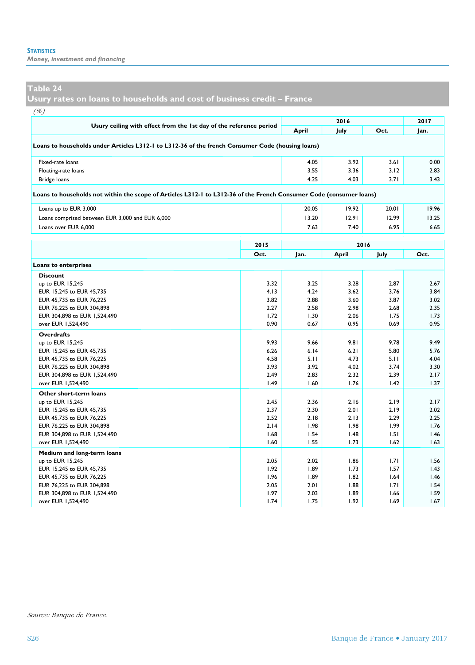*Money, investment and financing*

#### **Table 24**

**Usury rates on loans to households and cost of business credit – France**

| (%)                                                                                                                 |      |       |       |       |       |  |  |  |
|---------------------------------------------------------------------------------------------------------------------|------|-------|-------|-------|-------|--|--|--|
|                                                                                                                     |      |       | 2016  |       | 2017  |  |  |  |
| Usury ceiling with effect from the 1st day of the reference period                                                  |      | April | July  | Oct.  | Jan.  |  |  |  |
| Loans to households under Articles L312-1 to L312-36 of the french Consumer Code (housing loans)                    |      |       |       |       |       |  |  |  |
| Fixed-rate loans                                                                                                    |      | 4.05  | 3.92  | 3.61  | 0.00  |  |  |  |
| Floating-rate loans                                                                                                 |      | 3.55  | 3.36  | 3.12  | 2.83  |  |  |  |
| Bridge loans                                                                                                        |      | 4.25  | 4.03  | 3.71  | 3.43  |  |  |  |
| Loans to households not within the scope of Articles L312-1 to L312-36 of the French Consumer Code (consumer loans) |      |       |       |       |       |  |  |  |
| Loans up to EUR 3,000                                                                                               |      | 20.05 | 19.92 | 20.01 | 19.96 |  |  |  |
| Loans comprised between EUR 3,000 and EUR 6,000                                                                     |      | 13.20 | 12.91 | 12.99 | 13.25 |  |  |  |
| Loans over EUR 6,000                                                                                                |      | 7.63  | 7.40  | 6.95  | 6.65  |  |  |  |
| 2015<br>2016                                                                                                        |      |       |       |       |       |  |  |  |
|                                                                                                                     | Oct. | Jan.  | April | July  | Oct.  |  |  |  |
| Loans to enterprises                                                                                                |      |       |       |       |       |  |  |  |
| <b>Discount</b>                                                                                                     |      |       |       |       |       |  |  |  |
| up to EUR 15,245                                                                                                    | 3.32 | 3.25  | 3.28  | 2.87  | 2.67  |  |  |  |
| EUR 15,245 to EUR 45,735                                                                                            | 4.13 | 4.24  | 3.62  | 3.76  | 3.84  |  |  |  |
| EUR 45,735 to EUR 76,225                                                                                            | 3.82 | 2.88  | 3.60  | 3.87  | 3.02  |  |  |  |
| EUR 76,225 to EUR 304,898                                                                                           | 2.27 | 2.58  | 2.98  | 2.68  | 2.35  |  |  |  |
| EUR 304,898 to EUR 1,524,490                                                                                        | 1.72 | 1.30  | 2.06  | 1.75  | 1.73  |  |  |  |
| over EUR 1,524,490                                                                                                  | 0.90 | 0.67  | 0.95  | 0.69  | 0.95  |  |  |  |
| <b>Overdrafts</b>                                                                                                   |      |       |       |       |       |  |  |  |
| up to EUR 15,245                                                                                                    | 9.93 | 9.66  | 9.81  | 9.78  | 9.49  |  |  |  |
| EUR 15,245 to EUR 45,735                                                                                            | 6.26 | 6.14  | 6.21  | 5.80  | 5.76  |  |  |  |
| EUR 45,735 to EUR 76,225                                                                                            | 4.58 | 5.11  | 4.73  | 5.11  | 4.04  |  |  |  |
| EUR 76,225 to EUR 304,898                                                                                           | 3.93 | 3.92  | 4.02  | 3.74  | 3.30  |  |  |  |
| EUR 304,898 to EUR 1,524,490                                                                                        | 2.49 | 2.83  | 2.32  | 2.39  | 2.17  |  |  |  |
| over EUR 1,524,490                                                                                                  | 1.49 | 1.60  | 1.76  | 1.42  | 1.37  |  |  |  |
| Other short-term loans                                                                                              |      |       |       |       |       |  |  |  |
| up to EUR 15,245                                                                                                    | 2.45 | 2.36  | 2.16  | 2.19  | 2.17  |  |  |  |
| EUR 15,245 to EUR 45,735                                                                                            | 2.37 | 2.30  | 2.01  | 2.19  | 2.02  |  |  |  |
| EUR 45.735 to EUR 76.225                                                                                            | 2.52 | 2.18  | 2.13  | 2.29  | 2.25  |  |  |  |
| EUR 76,225 to EUR 304,898                                                                                           | 2.14 | 1.98  | 1.98  | 1.99  | 1.76  |  |  |  |
| EUR 304,898 to EUR 1,524,490                                                                                        | 1.68 | 1.54  | 1.48  | 1.51  | 1.46  |  |  |  |
| over EUR 1,524,490                                                                                                  | 1.60 | 1.55  | 1.73  | 1.62  | 1.63  |  |  |  |
| Medium and long-term loans                                                                                          |      |       |       |       |       |  |  |  |
| up to EUR 15,245                                                                                                    | 2.05 | 2.02  | 1.86  | 1.71  | 1.56  |  |  |  |
| EUR 15,245 to EUR 45,735                                                                                            | 1.92 | 1.89  | 1.73  | 1.57  | 1.43  |  |  |  |
| EUR 45,735 to EUR 76,225                                                                                            | 1.96 | 1.89  | 1.82  | 1.64  | 1.46  |  |  |  |
| EUR 76,225 to EUR 304,898                                                                                           | 2.05 | 2.01  | 1.88  | 1.71  | 1.54  |  |  |  |
| EUR 304,898 to EUR 1,524,490                                                                                        | 1.97 | 2.03  | 1.89  | 1.66  | 1.59  |  |  |  |
| over EUR 1,524,490                                                                                                  | 1.74 | 1.75  | 1.92  | 1.69  | 1.67  |  |  |  |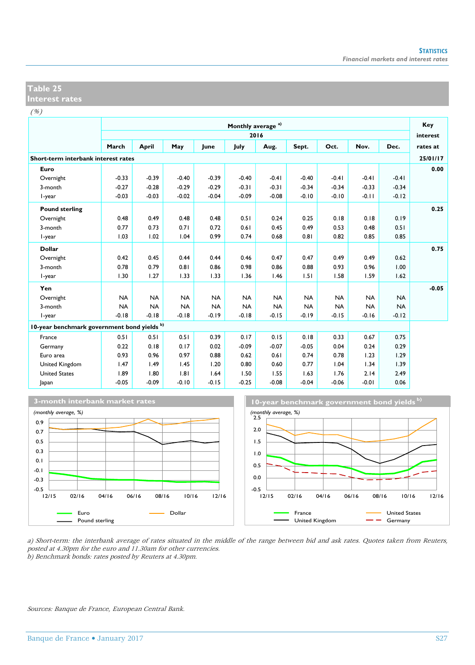**Interest rates** 

 $($ %)

|                                             |           |           |           |           | Monthly average <sup>a)</sup> |           |           |           |           |           | Key      |
|---------------------------------------------|-----------|-----------|-----------|-----------|-------------------------------|-----------|-----------|-----------|-----------|-----------|----------|
|                                             |           |           |           |           | 2016                          |           |           |           |           |           | interest |
|                                             | March     | April     | May       | lune      | July                          | Aug.      | Sept.     | Oct.      | Nov.      | Dec.      | rates at |
| Short-term interbank interest rates         |           |           |           |           |                               |           |           |           |           |           | 25/01/17 |
| Euro                                        |           |           |           |           |                               |           |           |           |           |           | 0.00     |
| Overnight                                   | $-0.33$   | $-0.39$   | $-0.40$   | $-0.39$   | $-0.40$                       | $-0.41$   | $-0.40$   | $-0.41$   | $-0.41$   | $-0.41$   |          |
| 3-month                                     | $-0.27$   | $-0.28$   | $-0.29$   | $-0.29$   | $-0.31$                       | $-0.31$   | $-0.34$   | $-0.34$   | $-0.33$   | $-0.34$   |          |
| I-year                                      | $-0.03$   | $-0.03$   | $-0.02$   | $-0.04$   | $-0.09$                       | $-0.08$   | $-0.10$   | $-0.10$   | $-0.11$   | $-0.12$   |          |
| <b>Pound sterling</b>                       |           |           |           |           |                               |           |           |           |           |           | 0.25     |
| Overnight                                   | 0.48      | 0.49      | 0.48      | 0.48      | 0.51                          | 0.24      | 0.25      | 0.18      | 0.18      | 0.19      |          |
| 3-month                                     | 0.77      | 0.73      | 0.71      | 0.72      | 0.61                          | 0.45      | 0.49      | 0.53      | 0.48      | 0.51      |          |
| I-year                                      | 1.03      | 1.02      | 1.04      | 0.99      | 0.74                          | 0.68      | 0.81      | 0.82      | 0.85      | 0.85      |          |
| <b>Dollar</b>                               |           |           |           |           |                               |           |           |           |           |           | 0.75     |
| Overnight                                   | 0.42      | 0.45      | 0.44      | 0.44      | 0.46                          | 0.47      | 0.47      | 0.49      | 0.49      | 0.62      |          |
| 3-month                                     | 0.78      | 0.79      | 0.81      | 0.86      | 0.98                          | 0.86      | 0.88      | 0.93      | 0.96      | 1.00      |          |
| I-year                                      | 1.30      | 1.27      | 1.33      | 1.33      | 1.36                          | 1.46      | 1.51      | 1.58      | 1.59      | 1.62      |          |
| Yen                                         |           |           |           |           |                               |           |           |           |           |           | $-0.05$  |
| Overnight                                   | <b>NA</b> | <b>NA</b> | <b>NA</b> | <b>NA</b> | <b>NA</b>                     | <b>NA</b> | <b>NA</b> | <b>NA</b> | <b>NA</b> | <b>NA</b> |          |
| 3-month                                     | <b>NA</b> | <b>NA</b> | <b>NA</b> | <b>NA</b> | <b>NA</b>                     | <b>NA</b> | <b>NA</b> | <b>NA</b> | <b>NA</b> | <b>NA</b> |          |
| I-year                                      | $-0.18$   | $-0.18$   | $-0.18$   | $-0.19$   | $-0.18$                       | $-0.15$   | $-0.19$   | $-0.15$   | $-0.16$   | $-0.12$   |          |
| 10-year benchmark government bond yields b) |           |           |           |           |                               |           |           |           |           |           |          |
| France                                      | 0.51      | 0.51      | 0.51      | 0.39      | 0.17                          | 0.15      | 0.18      | 0.33      | 0.67      | 0.75      |          |
| Germany                                     | 0.22      | 0.18      | 0.17      | 0.02      | $-0.09$                       | $-0.07$   | $-0.05$   | 0.04      | 0.24      | 0.29      |          |
| Euro area                                   | 0.93      | 0.96      | 0.97      | 0.88      | 0.62                          | 0.61      | 0.74      | 0.78      | 1.23      | 1.29      |          |
| United Kingdom                              | 1.47      | 1.49      | 1.45      | 1.20      | 0.80                          | 0.60      | 0.77      | 1.04      | 1.34      | 1.39      |          |
| <b>United States</b>                        | 1.89      | 1.80      | 1.81      | 1.64      | 1.50                          | 1.55      | 1.63      | 1.76      | 2.14      | 2.49      |          |
| Japan                                       | $-0.05$   | $-0.09$   | $-0.10$   | $-0.15$   | $-0.25$                       | $-0.08$   | $-0.04$   | $-0.06$   | $-0.01$   | 0.06      |          |





a) Short-term: the interbank average of rates situated in the middle of the range between bid and ask rates. Quotes taken from Reuters, posted at 4.30pm for the euro and 11.30am for other currencies. b) Benchmark bonds: rates posted by Reuters at 4.30pm.

Sources: Banque de France, European Central Bank.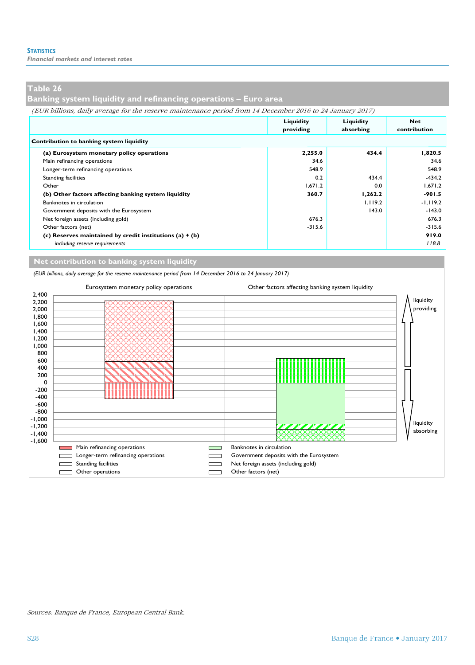*Financial markets and interest rates*

## **Table 26**

**Banking system liquidity and refinancing operations – Euro area**

| (EUR billions, daily average for the reserve maintenance period from 14 December 2016 to 24 January 2017) |  |  |  |  |
|-----------------------------------------------------------------------------------------------------------|--|--|--|--|
|                                                                                                           |  |  |  |  |
|                                                                                                           |  |  |  |  |

|                                                            | Liquidity | Liquidity | <b>Net</b>   |  |  |  |  |  |  |
|------------------------------------------------------------|-----------|-----------|--------------|--|--|--|--|--|--|
|                                                            | providing | absorbing | contribution |  |  |  |  |  |  |
| Contribution to banking system liquidity                   |           |           |              |  |  |  |  |  |  |
| (a) Eurosystem monetary policy operations                  | 2,255.0   | 434.4     | 1,820.5      |  |  |  |  |  |  |
| Main refinancing operations                                | 34.6      |           | 34.6         |  |  |  |  |  |  |
| Longer-term refinancing operations                         | 548.9     |           | 548.9        |  |  |  |  |  |  |
| <b>Standing facilities</b>                                 | 0.2       | 434.4     | $-434.2$     |  |  |  |  |  |  |
| Other                                                      | 1.671.2   | 0.0       | 1,671.2      |  |  |  |  |  |  |
| (b) Other factors affecting banking system liquidity       | 360.7     | 1,262.2   | $-901.5$     |  |  |  |  |  |  |
| Banknotes in circulation                                   |           | 1.119.2   | $-1, 119.2$  |  |  |  |  |  |  |
| Government deposits with the Eurosystem                    |           | 143.0     | $-143.0$     |  |  |  |  |  |  |
| Net foreign assets (including gold)                        | 676.3     |           | 676.3        |  |  |  |  |  |  |
| Other factors (net)                                        | $-315.6$  |           | $-315.6$     |  |  |  |  |  |  |
| (c) Reserves maintained by credit institutions $(a) + (b)$ |           |           | 919.0        |  |  |  |  |  |  |
| including reserve requirements                             |           |           | 118.8        |  |  |  |  |  |  |

**Net contribution to banking system liquidity**

*(EUR billions, daily average for the reserve maintenance period from 14 December 2016 to 24 January 2017)*



Sources: Banque de France, European Central Bank.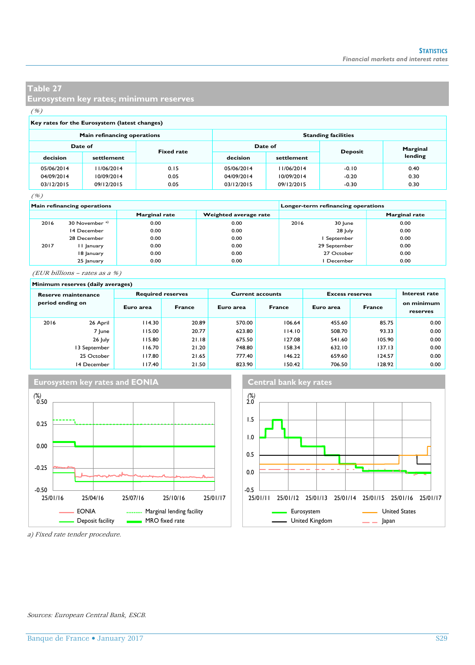**Eurosystem key rates; minimum reserves**

(%)

#### **Key rates for the Eurosystem (latest changes)**

|                              | Main refinancing operations |         | <b>Standing facilities</b> |                |          |         |  |  |  |
|------------------------------|-----------------------------|---------|----------------------------|----------------|----------|---------|--|--|--|
| Date of<br><b>Fixed rate</b> |                             | Date of |                            | <b>Deposit</b> | Marginal |         |  |  |  |
| decision                     | settlement                  |         | decision                   | settlement     |          | lending |  |  |  |
| 05/06/2014                   | 11/06/2014                  | 0.15    | 05/06/2014                 | 11/06/2014     | $-0.10$  | 0.40    |  |  |  |
| 04/09/2014                   | 10/09/2014                  | 0.05    | 04/09/2014                 | 10/09/2014     | $-0.20$  | 0.30    |  |  |  |
| 03/12/2015                   | 09/12/2015                  | 0.05    | 03/12/2015                 | 09/12/2015     | $-0.30$  | 0.30    |  |  |  |

(%)

|      | Main refinancing operations |                      | Longer-term refinancing operations |      |              |                      |  |
|------|-----------------------------|----------------------|------------------------------------|------|--------------|----------------------|--|
|      |                             | <b>Marginal rate</b> | Weighted average rate              |      |              | <b>Marginal rate</b> |  |
| 2016 | 30 November <sup>a)</sup>   | 0.00                 | 0.00                               | 2016 | 30 June      | 0.00                 |  |
|      | 14 December                 | 0.00                 | 0.00                               |      | 28 July      | 0.00                 |  |
|      | 28 December                 | 0.00                 | 0.00                               |      | September    | 0.00                 |  |
| 2017 | 11 January                  | 0.00                 | 0.00                               |      | 29 September | 0.00                 |  |
|      | 18 January                  | 0.00                 | 0.00                               |      | 27 October   | 0.00                 |  |
|      | 25 January                  | 0.00                 | 0.00                               |      | December     | 0.00                 |  |

(EUR billions – rates as a %)

#### **Minimum reserves (daily averages) Reserve maintenance Required reserves Current accounts Excess reserves period ending on** 2016 26 April 114.30 20.89 570.00 106.64 455.60 85.75 0.00 7 June 115.00 20.77 623.80 114.10 508.70 93.33 26 July 115.80 21.18 675.50 127.08 541.60 105.90 0.00 13 September | 116.70 21.20 748.80 158.34 632.10 137.13 0.00 25 October 117.80 21.65 777.40 146.22 659.60 124.57 0.00 14 December 117.40 21.50 823.90 150.42 706.50 128.92 0.00 **Euro area France Interest rate on minimum reserves Euro area France Euro area France**





a) Fixed rate tender procedure.

#### Sources: European Central Bank, ESCB.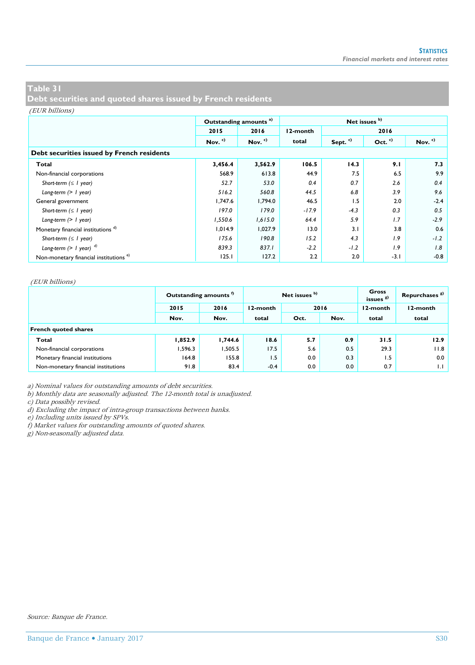**Debt securities and quoted shares issued by French residents**

#### (EUR billions)

|                                                   |           | Outstanding amounts <sup>a)</sup> | Net issues b) |                     |           |           |  |  |  |
|---------------------------------------------------|-----------|-----------------------------------|---------------|---------------------|-----------|-----------|--|--|--|
|                                                   | 2015      | 2016                              | 12-month      |                     | 2016      |           |  |  |  |
|                                                   | Nov. $c)$ | Nov. $c)$                         | total         | Sept. <sup>c)</sup> | Oct. $c)$ | Nov. $c)$ |  |  |  |
| Debt securities issued by French residents        |           |                                   |               |                     |           |           |  |  |  |
| Total                                             | 3,456.4   | 3,562.9                           | 106.5         | 14.3                | 9.1       | 7.3       |  |  |  |
| Non-financial corporations                        | 568.9     | 613.8                             | 44.9          | 7.5                 | 6.5       | 9.9       |  |  |  |
| Short-term $( \leq l$ year)                       | 52.7      | 53.0                              | 0.4           | 0.7                 | 2.6       | 0.4       |  |  |  |
| Long-term $(> 1$ year)                            | 516.2     | 560.8                             | 44.5          | 6.8                 | 3.9       | 9.6       |  |  |  |
| General government                                | 1.747.6   | 1.794.0                           | 46.5          | 1.5                 | 2.0       | $-2.4$    |  |  |  |
| Short-term $( \leq l$ year)                       | 197.0     | 179.0                             | $-17.9$       | $-4.3$              | 0.3       | 0.5       |  |  |  |
| Long-term $(> 1$ year)                            | 1,550.6   | 1,615.0                           | 64.4          | 5.9                 | 1.7       | $-2.9$    |  |  |  |
| Monetary financial institutions <sup>d)</sup>     | 1,014.9   | 1,027.9                           | 13.0          | 3.1                 | 3.8       | 0.6       |  |  |  |
| Short-term $( \leq l$ year)                       | 175.6     | 190.8                             | 15.2          | 4.3                 | 1.9       | $-1.2$    |  |  |  |
| Long-term $(> 1$ year) $^{d)}$                    | 839.3     | 837.1                             | $-2.2$        | $-1.2$              | 1.9       | 1.8       |  |  |  |
| Non-monetary financial institutions <sup>e)</sup> | 125.1     | 127.2                             | 2.2           | 2.0                 | $-3.1$    | $-0.8$    |  |  |  |

#### (EUR billions)

|                                     |         | Outstanding amounts <sup>"</sup> | Net issues b) |      |      | Gross<br>issues <sup>8)</sup> | Repurchases <sup>8)</sup> |  |  |
|-------------------------------------|---------|----------------------------------|---------------|------|------|-------------------------------|---------------------------|--|--|
|                                     | 2015    | 2016                             | 12-month      | 2016 |      | 12-month                      | 12-month                  |  |  |
|                                     | Nov.    | Nov.                             | total         | Oct. | Nov. |                               | total                     |  |  |
| <b>French quoted shares</b>         |         |                                  |               |      |      |                               |                           |  |  |
| Total                               | 1,852.9 | 1.744.6                          | 18.6          | 5.7  | 0.9  | 31.5                          | 12.9                      |  |  |
| Non-financial corporations          | 1.596.3 | .505.5                           | 17.5          | 5.6  | 0.5  | 29.3                          | 11.8                      |  |  |
| Monetary financial institutions     | 164.8   | 155.8                            | 1.5           | 0.0  | 0.3  | 1.5                           | 0.0                       |  |  |
| Non-monetary financial institutions | 91.8    | 83.4                             | $-0.4$        | 0.0  | 0.0  | 0.7                           | 1.1                       |  |  |

a) Nominal values for outstanding amounts of debt securities.

b) Monthly data are seasonally adjusted. The 12-month total is unadjusted.

c) Data possibly revised.

d) Excluding the impact of intra-group transactions between banks.

e) Including units issued by SPVs.

f) Market values for outstanding amounts of quoted shares.

g) Non-seasonally adjusted data.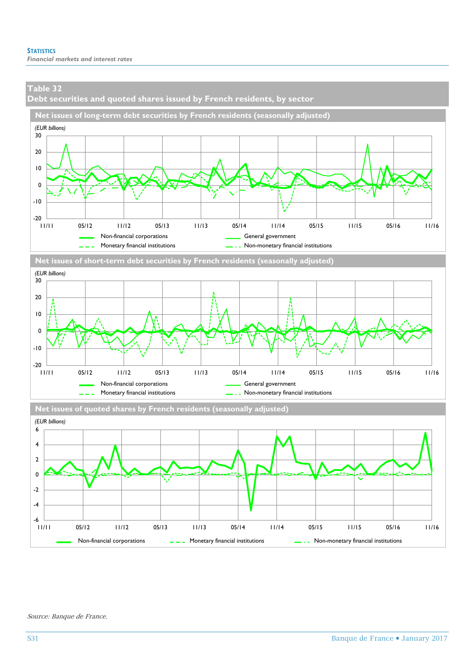**Debt securities and quoted shares issued by French residents, by sector**



Non-financial corporations  $\Box$   $\Box$  Monetary financial institutions  $\Box$  Non-monetary financial institutions

11/11 05/12 11/12 05/13 11/13 05/14 11/14 05/15 11/15 05/16 11/16

Source: Banque de France.

ـــا 6-<br>| | | | |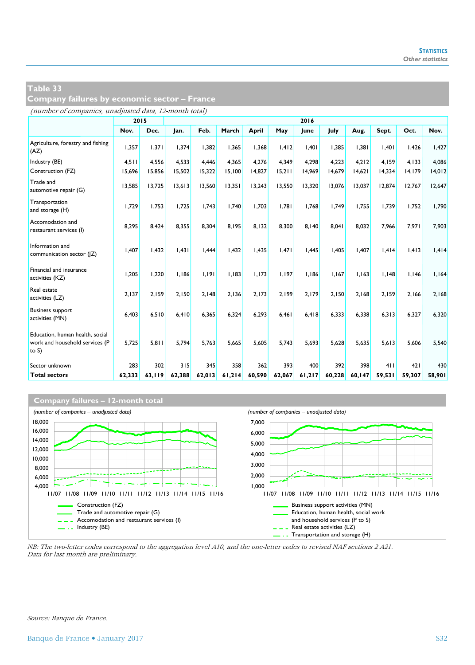**Company failures by economic sector – France**

(number of companies, unadjusted data, 12-month total)

|                                                                               |        | 2015   | 2016   |        |        |        |        |        |        |        |        |        |        |
|-------------------------------------------------------------------------------|--------|--------|--------|--------|--------|--------|--------|--------|--------|--------|--------|--------|--------|
|                                                                               | Nov.   | Dec.   | Jan.   | Feb.   | March  | April  | May    | June   | July   | Aug.   | Sept.  | Oct.   | Nov.   |
| Agriculture, forestry and fishing<br>(AZ)                                     | 1,357  | 1,371  | 1.374  | 1,382  | 1,365  | 1,368  | 1,412  | 1,401  | 1,385  | 1,381  | 1,401  | 1,426  | 1,427  |
| Industry (BE)                                                                 | 4,511  | 4.556  | 4.533  | 4.446  | 4,365  | 4.276  | 4.349  | 4,298  | 4.223  | 4.212  | 4.159  | 4.133  | 4.086  |
| Construction (FZ)                                                             | 15,696 | 15,856 | 15,502 | 15,322 | 15,100 | 14,827 | 15,211 | 14,969 | 14,679 | 14,621 | 14,334 | 14,179 | 14,012 |
| Trade and<br>automotive repair (G)                                            | 13,585 | 13,725 | 13,613 | 13,560 | 13,351 | 13,243 | 13,550 | 13,320 | 13,076 | 13,037 | 12,874 | 12,767 | 12,647 |
| Transportation<br>and storage (H)                                             | 1,729  | 1,753  | 1.725  | 1.743  | 1,740  | 1.703  | 1.781  | 1,768  | 1.749  | 1.755  | 1.739  | 1,752  | 1.790  |
| Accomodation and<br>restaurant services (I)                                   | 8,295  | 8.424  | 8.355  | 8.304  | 8.195  | 8.132  | 8.300  | 8.140  | 8.041  | 8.032  | 7.966  | 7.971  | 7.903  |
| Information and<br>communication sector ( Z)                                  | 1,407  | I,432  | 1.431  | 1,444  | 1,432  | 1,435  | 1.471  | 1,445  | 1.405  | 1.407  | 1,414  | 1,413  | 1,414  |
| Financial and insurance<br>activities (KZ)                                    | 1,205  | 1.220  | 1.186  | 1.191  | 1,183  | 1.173  | 1.197  | 1.186  | 1.167  | 1.163  | 1.148  | 1,146  | 1.164  |
| Real estate<br>activities (LZ)                                                | 2.137  | 2.159  | 2.150  | 2.148  | 2.136  | 2.173  | 2.199  | 2.179  | 2.150  | 2.168  | 2.159  | 2.166  | 2.168  |
| <b>Business support</b><br>activities (MN)                                    | 6,403  | 6,510  | 6.410  | 6,365  | 6,324  | 6,293  | 6,461  | 6,418  | 6.333  | 6,338  | 6,313  | 6,327  | 6,320  |
| Education, human health, social<br>work and household services (P<br>to $S$ ) | 5,725  | 5.811  | 5.794  | 5.763  | 5,665  | 5.605  | 5.743  | 5,693  | 5,628  | 5.635  | 5,613  | 5,606  | 5.540  |
| Sector unknown                                                                | 283    | 302    | 315    | 345    | 358    | 362    | 393    | 400    | 392    | 398    | 411    | 421    | 430    |
| <b>Total sectors</b>                                                          | 62,333 | 63,119 | 62,388 | 62,013 | 61,214 | 60,590 | 62,067 | 61,217 | 60,228 | 60,147 | 59,531 | 59,307 | 58,901 |



NB: The two-letter codes correspond to the aggregation level A10, and the one-letter codes to revised NAF sections 2 A21. Data for last month are preliminary.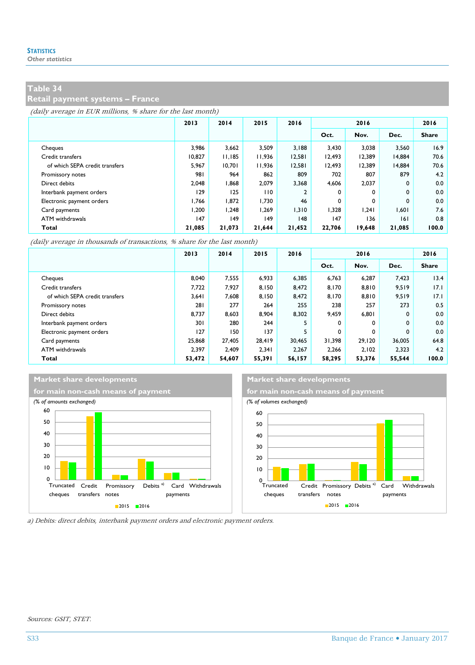#### **Retail payment systems – France**

(daily average in EUR millions, % share for the last month)

|                                | 2013   | 2014         | 2015         | 2016           | 2016   |        |        | 2016         |
|--------------------------------|--------|--------------|--------------|----------------|--------|--------|--------|--------------|
|                                |        |              |              |                | Oct.   | Nov.   | Dec.   | <b>Share</b> |
| Cheques                        | 3.986  | 3.662        | 3.509        | 3.188          | 3.430  | 3.038  | 3.560  | 16.9         |
| Credit transfers               | 10.827 | 11.185       | 11.936       | 12.581         | 12.493 | 12.389 | 14.884 | 70.6         |
| of which SEPA credit transfers | 5.967  | 10.701       | 11.936       | 12.581         | 12.493 | 12.389 | 14.884 | 70.6         |
| Promissory notes               | 981    | 964          | 862          | 809            | 702    | 807    | 879    | 4.2          |
| Direct debits                  | 2.048  | 868.1        | 2.079        | 3,368          | 4,606  | 2,037  | 0      | 0.0          |
| Interbank payment orders       | 129    | 125          | 110          | $\overline{2}$ | 0      | 0      | 0      | 0.0          |
| Electronic payment orders      | 1.766  | 1.872        | 1.730        | 46             | 0      | 0      | 0      | 0.0          |
| Card payments                  | 1.200  | 1.248        | 1.269        | 1.310          | 1.328  | 1.241  | 1.601  | 7.6          |
| ATM withdrawals                | 147    | $ 49\rangle$ | $ 49\rangle$ | 148            | 147    | 136    | 6      | 0.8          |
| Total                          | 21,085 | 21,073       | 21,644       | 21,452         | 22,706 | 19,648 | 21,085 | 100.0        |

(daily average in thousands of transactions, % share for the last month)

|                                | 2013   | 2014   | 2015   | 2016   | 2016   |        |              | 2016         |
|--------------------------------|--------|--------|--------|--------|--------|--------|--------------|--------------|
|                                |        |        |        |        | Oct.   | Nov.   | Dec.         | <b>Share</b> |
| Cheques                        | 8.040  | 7.555  | 6.933  | 6.385  | 6.763  | 6.287  | 7.423        | 13.4         |
| Credit transfers               | 7.722  | 7.927  | 8.150  | 8.472  | 8.170  | 8,810  | 9.519        | 17.1         |
| of which SEPA credit transfers | 3,641  | 7.608  | 8.150  | 8.472  | 8.170  | 8,810  | 9,519        | 17.1         |
| Promissory notes               | 281    | 277    | 264    | 255    | 238    | 257    | 273          | 0.5          |
| Direct debits                  | 8.737  | 8.603  | 8.904  | 8.302  | 9.459  | 6,801  | $\mathbf{0}$ | 0.0          |
| Interbank payment orders       | 301    | 280    | 244    | 5      | 0      | 0      | 0            | 0.0          |
| Electronic payment orders      | 127    | 150    | 137    | 5      | 0      | 0      | 0            | 0.0          |
| Card payments                  | 25,868 | 27,405 | 28.419 | 30.465 | 31.398 | 29.120 | 36.005       | 64.8         |
| ATM withdrawals                | 2.397  | 2.409  | 2.341  | 2.267  | 2.266  | 2,102  | 2.323        | 4.2          |
| Total                          | 53,472 | 54,607 | 55,391 | 56,157 | 58,295 | 53,376 | 55,544       | 100.0        |

#### **Market share developments Market share developments**





a) Debits: direct debits, interbank payment orders and electronic payment orders.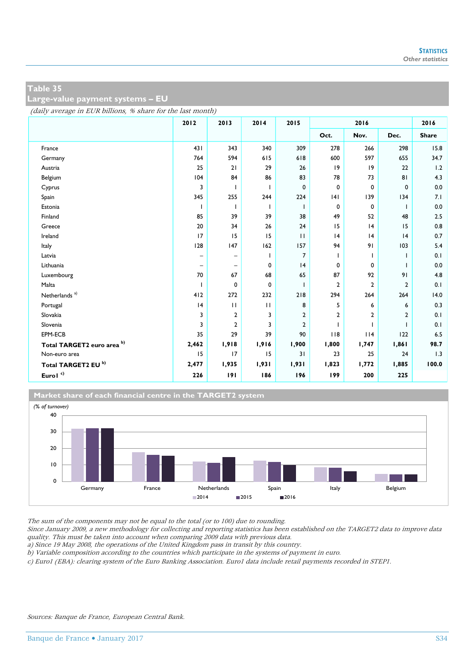**Large-value payment systems – EU** 

(daily average in EUR billions, % share for the last month)

|                                | 2012                         | 2013              | 2014         | 2015           | 2016           |                |                | 2016         |
|--------------------------------|------------------------------|-------------------|--------------|----------------|----------------|----------------|----------------|--------------|
|                                |                              |                   |              |                | Oct.           | Nov.           | Dec.           | <b>Share</b> |
| France                         | 431                          | 343               | 340          | 309            | 278            | 266            | 298            | 15.8         |
| Germany                        | 764                          | 594               | 615          | 618            | 600            | 597            | 655            | 34.7         |
| Austria                        | 25                           | 21                | 29           | 26             | 9              | 9              | 22             | 1.2          |
| Belgium                        | 104                          | 84                | 86           | 83             | 78             | 73             | 81             | 4.3          |
| Cyprus                         | 3                            | $\mathbf{I}$      | ı            | 0              | 0              | 0              | 0              | 0.0          |
| Spain                          | 345                          | 255               | 244          | 224            | 4              | 139            | 134            | 7.1          |
| Estonia                        |                              |                   |              | п              | 0              | 0              |                | 0.0          |
| Finland                        | 85                           | 39                | 39           | 38             | 49             | 52             | 48             | 2.5          |
| Greece                         | 20                           | 34                | 26           | 24             | 15             | 4              | 15             | 0.8          |
| Ireland                        | 17                           | 15                | 15           | $\mathbf{H}$   | 4              | 4              | 4              | 0.7          |
| Italy                          | 128                          | 147               | 162          | 157            | 94             | 91             | 103            | 5.4          |
| Latvia                         | $\qquad \qquad \blacksquare$ | -                 | L            | 7              | ı.             |                |                | 0.1          |
| Lithuania                      | $\overline{\phantom{m}}$     | $\qquad \qquad -$ | 0            | 4              | 0              | $\mathbf 0$    | ı              | 0.0          |
| Luxembourg                     | 70                           | 67                | 68           | 65             | 87             | 92             | 91             | 4.8          |
| Malta                          |                              | 0                 | 0            | п              | $\overline{2}$ | $\overline{2}$ | 2              | 0.1          |
| Netherlands <sup>a)</sup>      | 412                          | 272               | 232          | 218            | 294            | 264            | 264            | 14.0         |
| Portugal                       | 4                            | $\mathbf{H}$      | $\mathbf{H}$ | 8              | 5              | 6              | 6              | 0.3          |
| Slovakia                       | 3                            | 2                 | 3            | $\overline{2}$ | $\overline{2}$ | $\overline{2}$ | $\overline{2}$ | 0.1          |
| Slovenia                       | 3                            | 2                 | 3            | $\overline{2}$ |                |                | T              | 0.1          |
| EPM-ECB                        | 35                           | 29                | 39           | 90             | 118            | 114            | 122            | 6.5          |
| Total TARGET2 euro area b)     | 2,462                        | 1,918             | 1,916        | 1,900          | 1,800          | 1,747          | 1,861          | 98.7         |
| Non-euro area                  | 15                           | 17                | 15           | 31             | 23             | 25             | 24             | 1.3          |
| Total TARGET2 EU <sup>b)</sup> | 2,477                        | 1,935             | 1,931        | 1,931          | 1,823          | 1,772          | 1,885          | 100.0        |
| Eurol $^{\circ}$               | 226                          | 191               | 186          | 196            | 199            | 200            | 225            |              |

**Market share of each financial centre in the TARGET2 system**



The sum of the components may not be equal to the total (or to 100) due to rounding.

Since January 2009, a new methodology for collecting and reporting statistics has been established on the TARGET2 data to improve data quality. This must be taken into account when comparing 2009 data with previous data.

a) Since <sup>19</sup> May 2008, the operations of the United Kingdom pass in transit by this country.

b) Variable composition according to the countries which participate in the systems of payment in euro.

c) Euro1 (EBA): clearing system of the Euro Banking Association. Euro1 data include retail payments recorded in STEP1.

Sources: Banque de France, European Central Bank.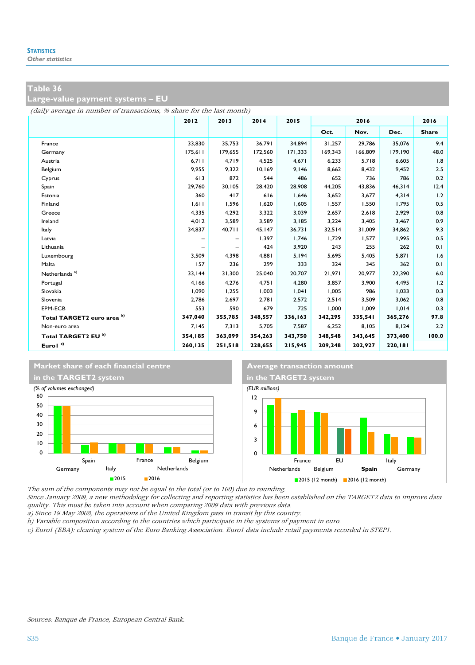**Large-value payment systems – EU** 

(daily average in number of transactions, % share for the last month)

|                            | 2012    | 2013    | 2014    | 2015    | 2016    |         |         | 2016         |
|----------------------------|---------|---------|---------|---------|---------|---------|---------|--------------|
|                            |         |         |         |         | Oct.    | Nov.    | Dec.    | <b>Share</b> |
| France                     | 33,830  | 35,753  | 36,791  | 34,894  | 31,257  | 29,786  | 35,076  | 9.4          |
| Germany                    | 175,611 | 179.655 | 172,560 | 171.333 | 169.343 | 166,809 | 179,190 | 48.0         |
| Austria                    | 6,711   | 4.719   | 4,525   | 4.671   | 6,233   | 5,718   | 6,605   | 1.8          |
| Belgium                    | 9,955   | 9,322   | 10,169  | 9,146   | 8,662   | 8,432   | 9,452   | 2.5          |
| Cyprus                     | 613     | 872     | 544     | 486     | 652     | 736     | 786     | 0.2          |
| Spain                      | 29,760  | 30,105  | 28,420  | 28,908  | 44,205  | 43,836  | 46,314  | 12.4         |
| Estonia                    | 360     | 417     | 616     | 1,646   | 3,652   | 3,677   | 4,314   | 1.2          |
| Finland                    | 1,611   | 1,596   | 1,620   | 1,605   | 1,557   | 1,550   | 1,795   | 0.5          |
| Greece                     | 4,335   | 4,292   | 3,322   | 3,039   | 2,657   | 2,618   | 2,929   | 0.8          |
| Ireland                    | 4.012   | 3.589   | 3.589   | 3.185   | 3,224   | 3.405   | 3,467   | 0.9          |
| Italy                      | 34,837  | 40,711  | 45,147  | 36,731  | 32,514  | 31,009  | 34,862  | 9.3          |
| Latvia                     | -       | -       | 1,397   | 1,746   | 1,729   | 1,577   | 1,995   | 0.5          |
| Lithuania                  |         | -       | 424     | 3,920   | 243     | 255     | 262     | 0.1          |
| Luxembourg                 | 3,509   | 4,398   | 4,881   | 5,194   | 5,695   | 5,405   | 5,871   | 1.6          |
| Malta                      | 157     | 236     | 299     | 333     | 324     | 345     | 362     | 0.1          |
| Netherlands <sup>a)</sup>  | 33.144  | 31.300  | 25.040  | 20.707  | 21.971  | 20.977  | 22,390  | 6.0          |
| Portugal                   | 4,166   | 4,276   | 4.751   | 4,280   | 3,857   | 3,900   | 4,495   | 1.2          |
| Slovakia                   | 1,090   | 1,255   | 1.003   | 1,041   | 1,005   | 986     | 1,033   | 0.3          |
| Slovenia                   | 2,786   | 2,697   | 2,781   | 2,572   | 2,514   | 3,509   | 3,062   | 0.8          |
| EPM-ECB                    | 553     | 590     | 679     | 725     | 1,000   | 1,009   | 1,014   | 0.3          |
| Total TARGET2 euro area b) | 347,040 | 355,785 | 348,557 | 336,163 | 342,295 | 335,541 | 365,276 | 97.8         |
| Non-euro area              | 7,145   | 7,313   | 5,705   | 7,587   | 6,252   | 8,105   | 8,124   | 2.2          |
| Total TARGET2 EU b)        | 354,185 | 363,099 | 354,263 | 343,750 | 348,548 | 343,645 | 373,400 | 100.0        |
| Eurol <sup>c)</sup>        | 260,135 | 251,518 | 228,655 | 215,945 | 209,248 | 202,927 | 220,181 |              |



The sum of the components may not be equal to the total (or to 100) due to rounding.

Since January 2009, a new methodology for collecting and reporting statistics has been established on the TARGET2 data to improve data quality. This must be taken into account when comparing 2009 data with previous data.

a) Since <sup>19</sup> May 2008, the operations of the United Kingdom pass in transit by this country.

b) Variable composition according to the countries which participate in the systems of payment in euro.

c) Euro1 (EBA): clearing system of the Euro Banking Association. Euro1 data include retail payments recorded in STEP1.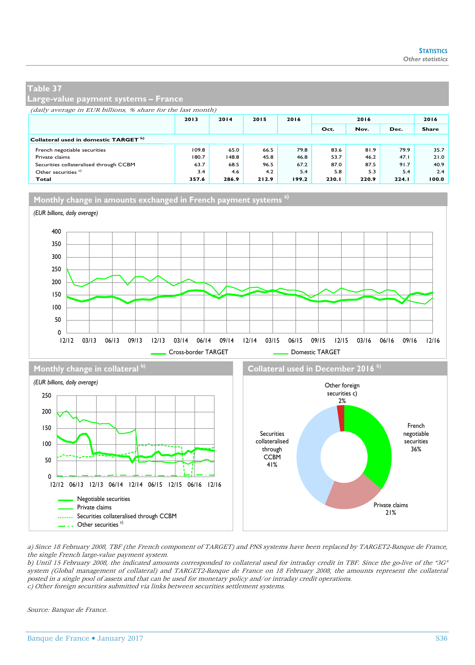#### **Large-value payment systems – France**

(daily average in EUR billions, % share for the last month)

|                                        | 2013  | 2014  | 2015  | 2016  | 2016  |       | 2016  |       |
|----------------------------------------|-------|-------|-------|-------|-------|-------|-------|-------|
|                                        |       |       |       |       | Oct.  | Nov.  | Dec.  | Share |
| Collateral used in domestic TARGET b)  |       |       |       |       |       |       |       |       |
| French negotiable securities           | 109.8 | 65.0  | 66.5  | 79.8  | 83.6  | 81.9  | 79.9  | 35.7  |
| Private claims                         | 180.7 | 148.8 | 45.8  | 46.8  | 53.7  | 46.2  | 47.1  | 21.0  |
| Securities collateralised through CCBM | 63.7  | 68.5  | 96.5  | 67.2  | 87.0  | 87.5  | 91.7  | 40.9  |
| Other securities <sup>c)</sup>         | 3.4   | 4.6   | 4.2   | 5.4   | 5.8   | 5.3   | 5.4   | 2.4   |
| Total                                  | 357.6 | 286.9 | 212.9 | 199.2 | 230.1 | 220.9 | 224.1 | 100.0 |

**Monthly change in amounts exchanged in French payment systems a)**



Private claims ......... Securities collateralised through CCBM  $\overline{\phantom{a}}$  . Other securities  $\overline{c}$ ) a) Since 18 February 2008, TBF (the French component of TARGET) and PNS systems have been replaced by TARGET2-Banque de France, the single French large-value payment system.

b) Until 15 February 2008, the indicated amounts corresponded to collateral used for intraday credit in TBF. Since the go-live of the "3G" system (Global management of collateral) and TARGET2-Banque de France on 18 February 2008, the amounts represent the collateral posted in a single pool of assets and that can be used for monetary policy and/or intraday credit operations. c) Other foreign securities submitted via links between securities settlement systems.

through **CCBM** 41%

Source: Banque de France.

 $\Omega$ 50

Negotiable securities

12/12 06/13 12/13 06/14 12/14 06/15 12/15 06/16 12/16

36%

Private claims 21%